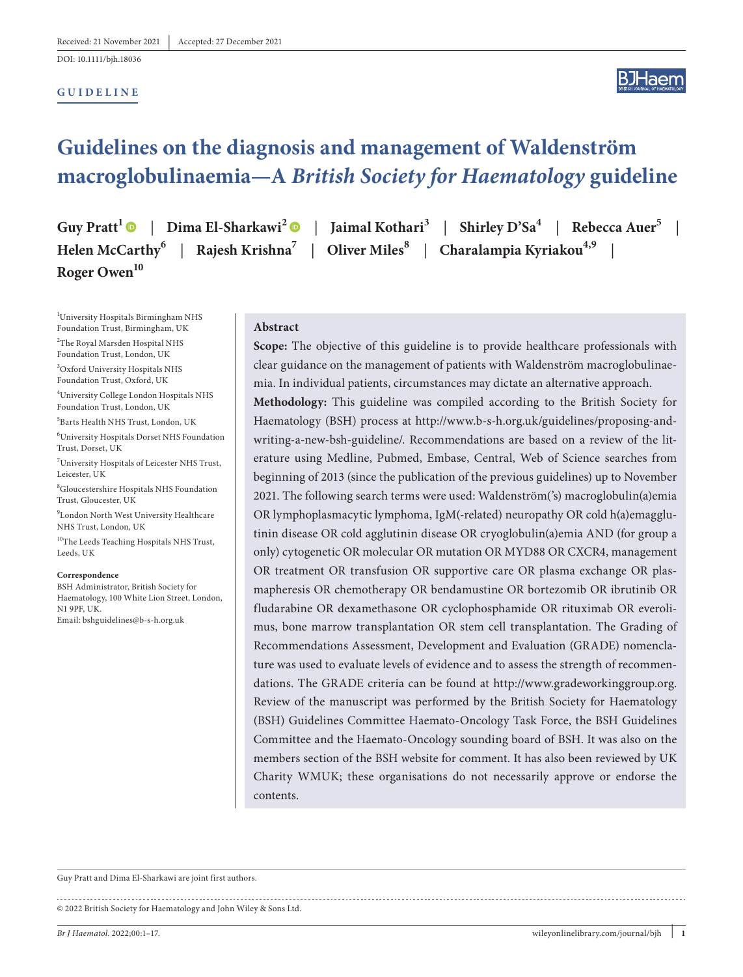DOI: 10.1111/bjh.18036

#### **GUIDELINE**



# **Guidelines on the diagnosis and management of Waldenström macroglobulinaemia—A** *British Society for Haematology* **guideline**

Helen McCarthy<sup>6</sup> | Rajesh Krishna<sup>7</sup> | Oliver Miles<sup>8</sup> | Charalampia Kyriakou<sup>4,9</sup> **Roger Owen**<sup>10</sup>

**Guy Pratt<sup>1</sup>**  $\bullet$  **| Dima El-Sharkawi<sup>[2](https://orcid.org/0000-0002-2752-5814)</sup>**  $\bullet$  **| Jaimal Kothari<sup>3</sup> | Shirley D'Sa<sup>4</sup> | Rebecca Auer<sup>5</sup> |** 

1 University Hospitals Birmingham NHS Foundation Trust, Birmingham, UK 2 The Royal Marsden Hospital NHS Foundation Trust, London, UK 3 Oxford University Hospitals NHS Foundation Trust, Oxford, UK 4 University College London Hospitals NHS Foundation Trust, London, UK 5 Barts Health NHS Trust, London, UK 6 University Hospitals Dorset NHS Foundation Trust, Dorset, UK 7 University Hospitals of Leicester NHS Trust, Leicester, UK 8 Gloucestershire Hospitals NHS Foundation Trust, Gloucester, UK 9 London North West University Healthcare NHS Trust, London, UK  $\rm ^{10}$  The Leeds Teaching Hospitals NHS Trust, Leeds, UK

#### **Correspondence**

BSH Administrator, British Society for Haematology, 100 White Lion Street, London, N1 9PF, UK. Email: [bshguidelines@b-s-h.org.uk](mailto:bshguidelines@b-s-h.org.uk)

#### **Abstract**

Scope: The objective of this guideline is to provide healthcare professionals with clear guidance on the management of patients with Waldenström macroglobulinaemia. In individual patients, circumstances may dictate an alternative approach. **Methodology:** This guideline was compiled according to the British Society for Haematology (BSH) process at [http://www.b-s-h.org.uk/guidelines/proposing-and](http://www.b-s-h.org.uk/guidelines/proposing-and-writing-a-new-bsh-guideline/)[writing-a-new-bsh-guideline/](http://www.b-s-h.org.uk/guidelines/proposing-and-writing-a-new-bsh-guideline/). Recommendations are based on a review of the literature using Medline, Pubmed, Embase, Central, Web of Science searches from beginning of 2013 (since the publication of the previous guidelines) up to November 2021. The following search terms were used: Waldenström('s) macroglobulin(a)emia OR lymphoplasmacytic lymphoma, IgM(-related) neuropathy OR cold h(a)emagglutinin disease OR cold agglutinin disease OR cryoglobulin(a)emia AND (for group a only) cytogenetic OR molecular OR mutation OR MYD88 OR CXCR4, management OR treatment OR transfusion OR supportive care OR plasma exchange OR plasmapheresis OR chemotherapy OR bendamustine OR bortezomib OR ibrutinib OR fludarabine OR dexamethasone OR cyclophosphamide OR rituximab OR everolimus, bone marrow transplantation OR stem cell transplantation. The Grading of Recommendations Assessment, Development and Evaluation (GRADE) nomenclature was used to evaluate levels of evidence and to assess the strength of recommendations. The GRADE criteria can be found at <http://www.gradeworkinggroup.org>. Review of the manuscript was performed by the British Society for Haematology (BSH) Guidelines Committee Haemato-Oncology Task Force, the BSH Guidelines Committee and the Haemato-Oncology sounding board of BSH. It was also on the members section of the BSH website for comment. It has also been reviewed by UK Charity WMUK; these organisations do not necessarily approve or endorse the contents.

Guy Pratt and Dima El-Sharkawi are joint first authors. 

© 2022 British Society for Haematology and John Wiley & Sons Ltd.

*Br J Haematol*. 2022;00:1–17. [wileyonlinelibrary.com/journal/bjh](www.wileyonlinelibrary.com/journal/bjh) | **1**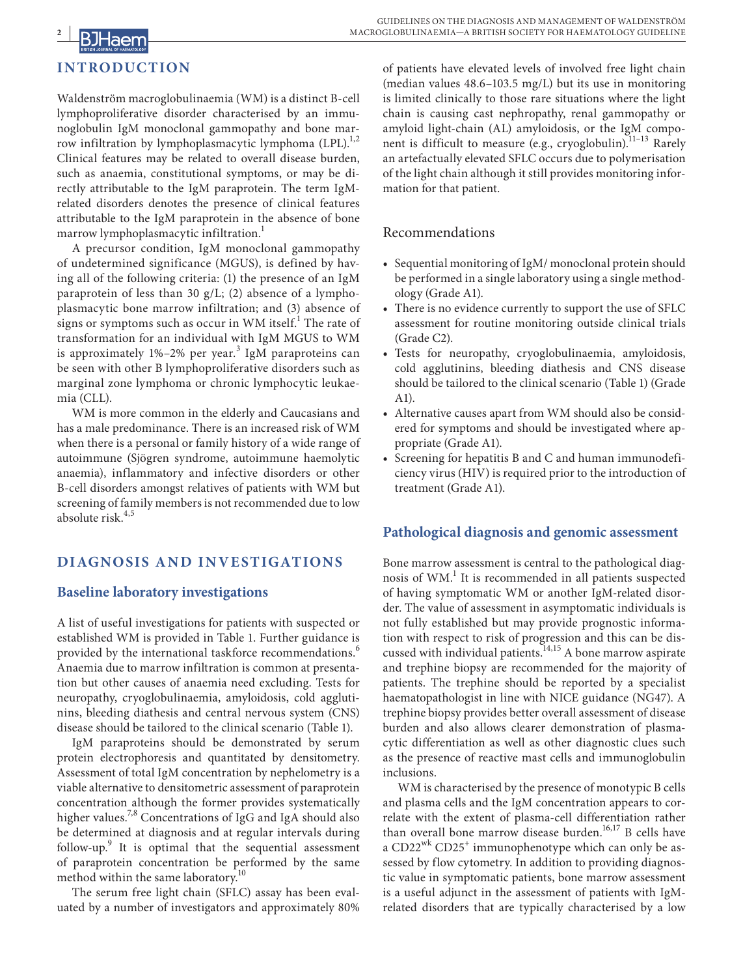# **2 | INTRODUCTION**

Waldenström macroglobulinaemia (WM) is a distinct B-cell lymphoproliferative disorder characterised by an immunoglobulin IgM monoclonal gammopathy and bone marrow infiltration by lymphoplasmacytic lymphoma (LPL).<sup>1,2</sup> Clinical features may be related to overall disease burden, such as anaemia, constitutional symptoms, or may be directly attributable to the IgM paraprotein. The term IgMrelated disorders denotes the presence of clinical features attributable to the IgM paraprotein in the absence of bone marrow lymphoplasmacytic infiltration.<sup>1</sup>

A precursor condition, IgM monoclonal gammopathy of undetermined significance (MGUS), is defined by having all of the following criteria: (1) the presence of an IgM paraprotein of less than 30 g/L; (2) absence of a lymphoplasmacytic bone marrow infiltration; and (3) absence of signs or symptoms such as occur in WM itself. $^{\rm l}$  The rate of transformation for an individual with IgM MGUS to WM is approximately 1%-2% per year.<sup>3</sup> IgM paraproteins can be seen with other B lymphoproliferative disorders such as marginal zone lymphoma or chronic lymphocytic leukaemia (CLL).

WM is more common in the elderly and Caucasians and has a male predominance. There is an increased risk of WM when there is a personal or family history of a wide range of autoimmune (Sjögren syndrome, autoimmune haemolytic anaemia), inflammatory and infective disorders or other B-cell disorders amongst relatives of patients with WM but screening of family members is not recommended due to low absolute risk. $4,5$ 

# **DIAGNOSIS AND INVESTIGATIONS**

# **Baseline laboratory investigations**

A list of useful investigations for patients with suspected or established WM is provided in Table 1. Further guidance is provided by the international taskforce recommendations.<sup>6</sup> Anaemia due to marrow infiltration is common at presentation but other causes of anaemia need excluding. Tests for neuropathy, cryoglobulinaemia, amyloidosis, cold agglutinins, bleeding diathesis and central nervous system (CNS) disease should be tailored to the clinical scenario (Table 1).

IgM paraproteins should be demonstrated by serum protein electrophoresis and quantitated by densitometry. Assessment of total IgM concentration by nephelometry is a viable alternative to densitometric assessment of paraprotein concentration although the former provides systematically higher values.<sup>7,8</sup> Concentrations of IgG and IgA should also be determined at diagnosis and at regular intervals during follow-up.<sup>9</sup> It is optimal that the sequential assessment of paraprotein concentration be performed by the same method within the same laboratory.<sup>10</sup>

The serum free light chain (SFLC) assay has been evaluated by a number of investigators and approximately 80%

of patients have elevated levels of involved free light chain (median values 48.6–103.5 mg/L) but its use in monitoring is limited clinically to those rare situations where the light chain is causing cast nephropathy, renal gammopathy or amyloid light-chain (AL) amyloidosis, or the IgM component is difficult to measure (e.g., cryoglobulin). $11-13$  Rarely an artefactually elevated SFLC occurs due to polymerisation of the light chain although it still provides monitoring information for that patient.

## Recommendations

- **•** Sequential monitoring of IgM/ monoclonal protein should be performed in a single laboratory using a single methodology (Grade A1).
- **•** There is no evidence currently to support the use of SFLC assessment for routine monitoring outside clinical trials (Grade C2).
- **•** Tests for neuropathy, cryoglobulinaemia, amyloidosis, cold agglutinins, bleeding diathesis and CNS disease should be tailored to the clinical scenario (Table 1) (Grade A1).
- **•** Alternative causes apart from WM should also be considered for symptoms and should be investigated where appropriate (Grade A1).
- **•** Screening for hepatitis B and C and human immunodeficiency virus (HIV) is required prior to the introduction of treatment (Grade A1).

# **Pathological diagnosis and genomic assessment**

Bone marrow assessment is central to the pathological diagnosis of WM.<sup>1</sup> It is recommended in all patients suspected of having symptomatic WM or another IgM-related disorder. The value of assessment in asymptomatic individuals is not fully established but may provide prognostic information with respect to risk of progression and this can be discussed with individual patients.<sup>14,15</sup> A bone marrow aspirate and trephine biopsy are recommended for the majority of patients. The trephine should be reported by a specialist haematopathologist in line with NICE guidance (NG47). A trephine biopsy provides better overall assessment of disease burden and also allows clearer demonstration of plasmacytic differentiation as well as other diagnostic clues such as the presence of reactive mast cells and immunoglobulin inclusions.

WM is characterised by the presence of monotypic B cells and plasma cells and the IgM concentration appears to correlate with the extent of plasma-cell differentiation rather than overall bone marrow disease burden.<sup>16,17</sup> B cells have a CD22<sup>wk</sup> CD25<sup>+</sup> immunophenotype which can only be assessed by flow cytometry. In addition to providing diagnostic value in symptomatic patients, bone marrow assessment is a useful adjunct in the assessment of patients with IgMrelated disorders that are typically characterised by a low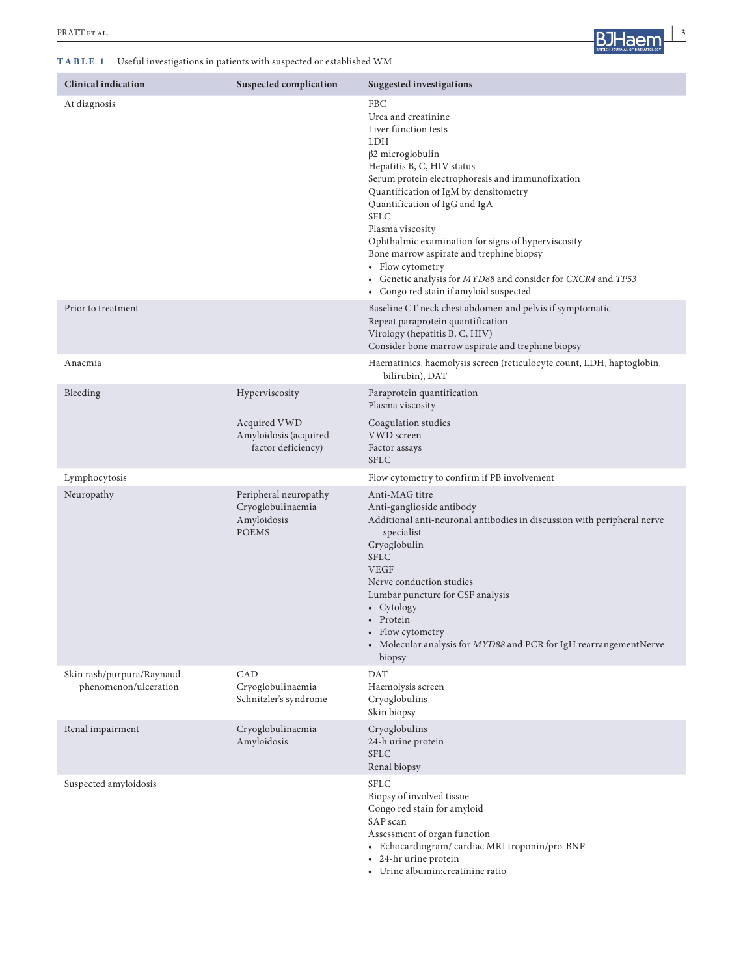#### **TABLE 1** Useful investigations in patients with suspected or established WM



| <b>Clinical indication</b>                         | <b>Suspected complication</b>                                             | <b>Suggested investigations</b>                                                                                                                                                                                                                                                                                                                                                                                                                                                                                     |
|----------------------------------------------------|---------------------------------------------------------------------------|---------------------------------------------------------------------------------------------------------------------------------------------------------------------------------------------------------------------------------------------------------------------------------------------------------------------------------------------------------------------------------------------------------------------------------------------------------------------------------------------------------------------|
| At diagnosis                                       |                                                                           | FBC<br>Urea and creatinine<br>Liver function tests<br><b>LDH</b><br>$\beta$ 2 microglobulin<br>Hepatitis B, C, HIV status<br>Serum protein electrophoresis and immunofixation<br>Quantification of IgM by densitometry<br>Quantification of IgG and IgA<br>SFLC<br>Plasma viscosity<br>Ophthalmic examination for signs of hyperviscosity<br>Bone marrow aspirate and trephine biopsy<br>• Flow cytometry<br>• Genetic analysis for MYD88 and consider for CXCR4 and TP53<br>• Congo red stain if amyloid suspected |
| Prior to treatment                                 |                                                                           | Baseline CT neck chest abdomen and pelvis if symptomatic<br>Repeat paraprotein quantification<br>Virology (hepatitis B, C, HIV)<br>Consider bone marrow aspirate and trephine biopsy                                                                                                                                                                                                                                                                                                                                |
| Anaemia                                            |                                                                           | Haematinics, haemolysis screen (reticulocyte count, LDH, haptoglobin,<br>bilirubin), DAT                                                                                                                                                                                                                                                                                                                                                                                                                            |
| Bleeding                                           | Hyperviscosity                                                            | Paraprotein quantification<br>Plasma viscosity                                                                                                                                                                                                                                                                                                                                                                                                                                                                      |
|                                                    | Acquired VWD<br>Amyloidosis (acquired<br>factor deficiency)               | Coagulation studies<br>VWD screen<br>Factor assays<br><b>SFLC</b>                                                                                                                                                                                                                                                                                                                                                                                                                                                   |
| Lymphocytosis                                      |                                                                           | Flow cytometry to confirm if PB involvement                                                                                                                                                                                                                                                                                                                                                                                                                                                                         |
| Neuropathy                                         | Peripheral neuropathy<br>Cryoglobulinaemia<br>Amyloidosis<br><b>POEMS</b> | Anti-MAG titre<br>Anti-ganglioside antibody<br>Additional anti-neuronal antibodies in discussion with peripheral nerve<br>specialist<br>Cryoglobulin<br><b>SFLC</b><br><b>VEGF</b><br>Nerve conduction studies<br>Lumbar puncture for CSF analysis<br>• Cytology<br>• Protein<br>• Flow cytometry<br>• Molecular analysis for MYD88 and PCR for IgH rearrangementNerve<br>biopsy                                                                                                                                    |
| Skin rash/purpura/Raynaud<br>phenomenon/ulceration | CAD<br>Cryoglobulinaemia<br>Schnitzler's syndrome                         | <b>DAT</b><br>Haemolysis screen<br>Cryoglobulins<br>Skin biopsy                                                                                                                                                                                                                                                                                                                                                                                                                                                     |
| Renal impairment                                   | Cryoglobulinaemia<br>Amyloidosis                                          | Cryoglobulins<br>24-h urine protein<br><b>SFLC</b><br>Renal biopsy                                                                                                                                                                                                                                                                                                                                                                                                                                                  |
| Suspected amyloidosis                              |                                                                           | <b>SFLC</b><br>Biopsy of involved tissue<br>Congo red stain for amyloid<br>SAP scan<br>Assessment of organ function<br>• Echocardiogram/ cardiac MRI troponin/pro-BNP<br>• 24-hr urine protein                                                                                                                                                                                                                                                                                                                      |

• Urine albumin:creatinine ratio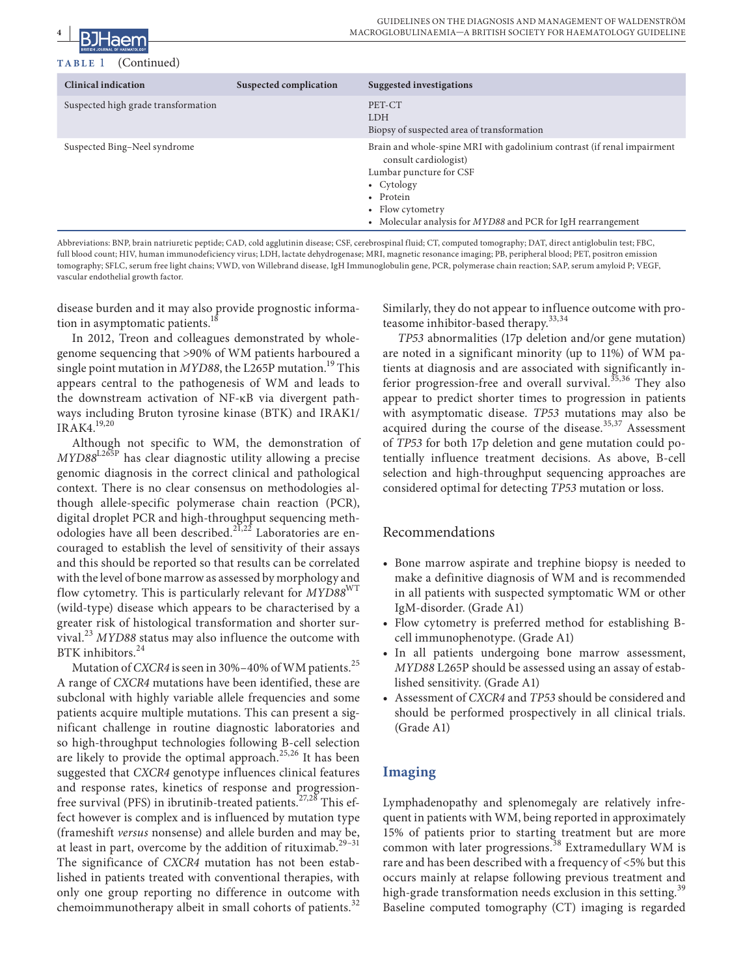

#### (Continued)

| <b>Clinical indication</b>          | Suspected complication | Suggested investigations                                                                                                                                                                                                                                |
|-------------------------------------|------------------------|---------------------------------------------------------------------------------------------------------------------------------------------------------------------------------------------------------------------------------------------------------|
| Suspected high grade transformation |                        | PET-CT<br><b>LDH</b><br>Biopsy of suspected area of transformation                                                                                                                                                                                      |
| Suspected Bing-Neel syndrome        |                        | Brain and whole-spine MRI with gadolinium contrast (if renal impairment<br>consult cardiologist)<br>Lumbar puncture for CSF<br>• $Cytology$<br>Protein<br>$\bullet$<br>• Flow cytometry<br>• Molecular analysis for MYD88 and PCR for IgH rearrangement |

Abbreviations: BNP, brain natriuretic peptide; CAD, cold agglutinin disease; CSF, cerebrospinal fluid; CT, computed tomography; DAT, direct antiglobulin test; FBC, full blood count; HIV, human immunodeficiency virus; LDH, lactate dehydrogenase; MRI, magnetic resonance imaging; PB, peripheral blood; PET, positron emission tomography; SFLC, serum free light chains; VWD, von Willebrand disease, IgH Immunoglobulin gene, PCR, polymerase chain reaction; SAP, serum amyloid P; VEGF, vascular endothelial growth factor.

disease burden and it may also provide prognostic information in asymptomatic patients.<sup>18</sup>

In 2012, Treon and colleagues demonstrated by wholegenome sequencing that >90% of WM patients harboured a single point mutation in *MYD88*, the L265P mutation.19 This appears central to the pathogenesis of WM and leads to the downstream activation of NF-κB via divergent pathways including Bruton tyrosine kinase (BTK) and IRAK1/ IRAK4.19,20

Although not specific to WM, the demonstration of *MYD88*L265P has clear diagnostic utility allowing a precise genomic diagnosis in the correct clinical and pathological context. There is no clear consensus on methodologies although allele-specific polymerase chain reaction (PCR), digital droplet PCR and high-throughput sequencing methodologies have all been described.<sup>21,22</sup> Laboratories are encouraged to establish the level of sensitivity of their assays and this should be reported so that results can be correlated with the level of bone marrow as assessed by morphology and flow cytometry. This is particularly relevant for *MYD88*WT (wild-type) disease which appears to be characterised by a greater risk of histological transformation and shorter survival.<sup>23</sup> *MYD88* status may also influence the outcome with BTK inhibitors.<sup>24</sup>

Mutation of *CXCR4* is seen in 30%–40% of WM patients.<sup>25</sup> A range of *CXCR4* mutations have been identified, these are subclonal with highly variable allele frequencies and some patients acquire multiple mutations. This can present a significant challenge in routine diagnostic laboratories and so high-throughput technologies following B-cell selection are likely to provide the optimal approach.<sup>25,26</sup> It has been suggested that *CXCR4* genotype influences clinical features and response rates, kinetics of response and progressionfree survival (PFS) in ibrutinib-treated patients.<sup>27,28</sup> This effect however is complex and is influenced by mutation type (frameshift *versus* nonsense) and allele burden and may be, at least in part, overcome by the addition of rituximab.<sup>29-31</sup> The significance of *CXCR4* mutation has not been established in patients treated with conventional therapies, with only one group reporting no difference in outcome with chemoimmunotherapy albeit in small cohorts of patients.<sup>32</sup>

Similarly, they do not appear to influence outcome with proteasome inhibitor-based therapy.<sup>33,34</sup>

*TP53* abnormalities (17p deletion and/or gene mutation) are noted in a significant minority (up to 11%) of WM patients at diagnosis and are associated with significantly inferior progression-free and overall survival.<sup>35,36</sup> They also appear to predict shorter times to progression in patients with asymptomatic disease. *TP53* mutations may also be acquired during the course of the disease. $35,37$  Assessment of *TP53* for both 17p deletion and gene mutation could potentially influence treatment decisions. As above, B-cell selection and high-throughput sequencing approaches are considered optimal for detecting *TP53* mutation or loss.

#### Recommendations

- **•** Bone marrow aspirate and trephine biopsy is needed to make a definitive diagnosis of WM and is recommended in all patients with suspected symptomatic WM or other IgM-disorder. (Grade A1)
- **•** Flow cytometry is preferred method for establishing Bcell immunophenotype. (Grade A1)
- **•** In all patients undergoing bone marrow assessment, *MYD88* L265P should be assessed using an assay of established sensitivity. (Grade A1)
- **•** Assessment of *CXCR4* and *TP53* should be considered and should be performed prospectively in all clinical trials. (Grade A1)

# **Imaging**

Lymphadenopathy and splenomegaly are relatively infrequent in patients with WM, being reported in approximately 15% of patients prior to starting treatment but are more common with later progressions.<sup>38</sup> Extramedullary WM is rare and has been described with a frequency of <5% but this occurs mainly at relapse following previous treatment and high-grade transformation needs exclusion in this setting.<sup>39</sup> Baseline computed tomography (CT) imaging is regarded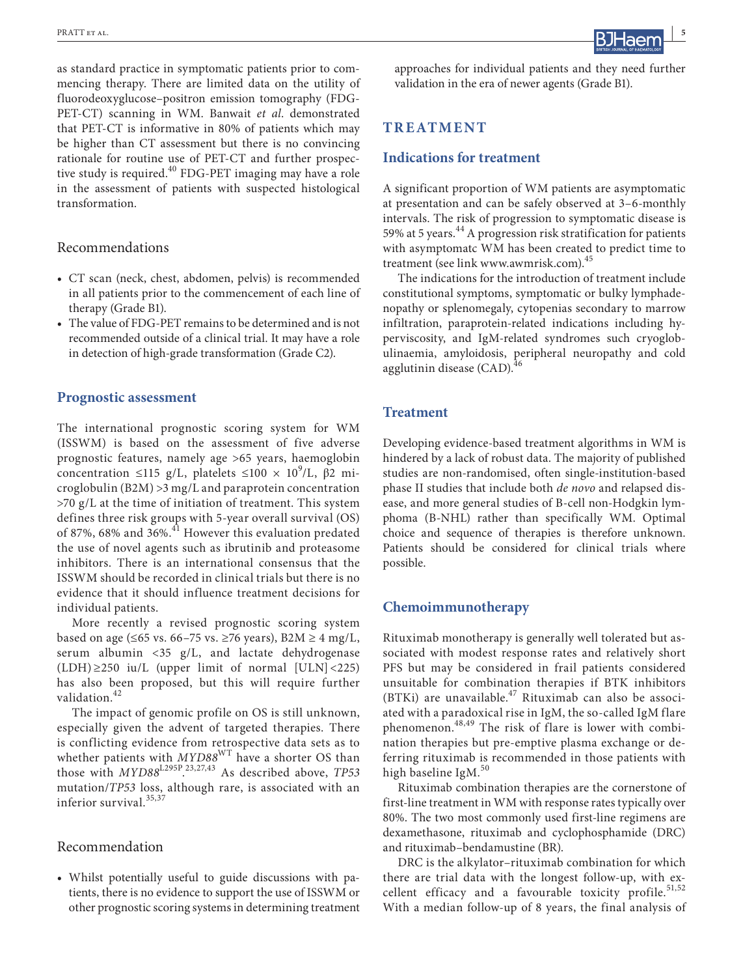as standard practice in symptomatic patients prior to commencing therapy. There are limited data on the utility of fluorodeoxyglucose–positron emission tomography (FDG-PET-CT) scanning in WM. Banwait *et al*. demonstrated that PET-CT is informative in 80% of patients which may be higher than CT assessment but there is no convincing rationale for routine use of PET-CT and further prospective study is required.<sup>40</sup> FDG-PET imaging may have a role in the assessment of patients with suspected histological transformation.

#### Recommendations

- **•** CT scan (neck, chest, abdomen, pelvis) is recommended in all patients prior to the commencement of each line of therapy (Grade B1).
- **•** The value of FDG-PET remains to be determined and is not recommended outside of a clinical trial. It may have a role in detection of high-grade transformation (Grade C2).

#### **Prognostic assessment**

The international prognostic scoring system for WM (ISSWM) is based on the assessment of five adverse prognostic features, namely age >65 years, haemoglobin concentration ≤115 g/L, platelets ≤100 ×  $10^9$ /L, β2 microglobulin (B2M) >3 mg/L and paraprotein concentration >70 g/L at the time of initiation of treatment. This system defines three risk groups with 5-year overall survival (OS) of 87%, 68% and 36%.<sup>41</sup> However this evaluation predated the use of novel agents such as ibrutinib and proteasome inhibitors. There is an international consensus that the ISSWM should be recorded in clinical trials but there is no evidence that it should influence treatment decisions for individual patients.

More recently a revised prognostic scoring system based on age (≤65 vs. 66–75 vs. ≥76 years), B2M ≥ 4 mg/L, serum albumin <35 g/L, and lactate dehydrogenase  $(LDH) \ge 250$  iu/L (upper limit of normal [ULN] <225) has also been proposed, but this will require further validation.<sup>42</sup>

The impact of genomic profile on OS is still unknown, especially given the advent of targeted therapies. There is conflicting evidence from retrospective data sets as to whether patients with *MYD88*WT have a shorter OS than those with *MYD88*L295P. 23,27,43 As described above, *TP53* mutation/*TP53* loss, although rare, is associated with an inferior survival.<sup>35,37</sup>

#### Recommendation

**•** Whilst potentially useful to guide discussions with patients, there is no evidence to support the use of ISSWM or other prognostic scoring systems in determining treatment

approaches for individual patients and they need further validation in the era of newer agents (Grade B1).

## **TREATMENT**

#### **Indications for treatment**

A significant proportion of WM patients are asymptomatic at presentation and can be safely observed at 3–6-monthly intervals. The risk of progression to symptomatic disease is 59% at 5 years.<sup>44</sup> A progression risk stratification for patients with asymptomatc WM has been created to predict time to treatment (see link [www.awmrisk.com](http://www.awmrisk.com)).45

The indications for the introduction of treatment include constitutional symptoms, symptomatic or bulky lymphadenopathy or splenomegaly, cytopenias secondary to marrow infiltration, paraprotein-related indications including hyperviscosity, and IgM-related syndromes such cryoglobulinaemia, amyloidosis, peripheral neuropathy and cold agglutinin disease  $(CAD)^{46}$ 

#### **Treatment**

Developing evidence-based treatment algorithms in WM is hindered by a lack of robust data. The majority of published studies are non-randomised, often single-institution-based phase II studies that include both *de novo* and relapsed disease, and more general studies of B-cell non-Hodgkin lymphoma (B-NHL) rather than specifically WM. Optimal choice and sequence of therapies is therefore unknown. Patients should be considered for clinical trials where possible.

#### **Chemoimmunotherapy**

Rituximab monotherapy is generally well tolerated but associated with modest response rates and relatively short PFS but may be considered in frail patients considered unsuitable for combination therapies if BTK inhibitors (BTKi) are unavailable. $47$  Rituximab can also be associated with a paradoxical rise in IgM, the so-called IgM flare phenomenon.48,49 The risk of flare is lower with combination therapies but pre-emptive plasma exchange or deferring rituximab is recommended in those patients with high baseline IgM. $50$ 

Rituximab combination therapies are the cornerstone of first-line treatment in WM with response rates typically over 80%. The two most commonly used first-line regimens are dexamethasone, rituximab and cyclophosphamide (DRC) and rituximab–bendamustine (BR).

DRC is the alkylator–rituximab combination for which there are trial data with the longest follow-up, with excellent efficacy and a favourable toxicity profile.<sup>51,52</sup> With a median follow-up of 8 years, the final analysis of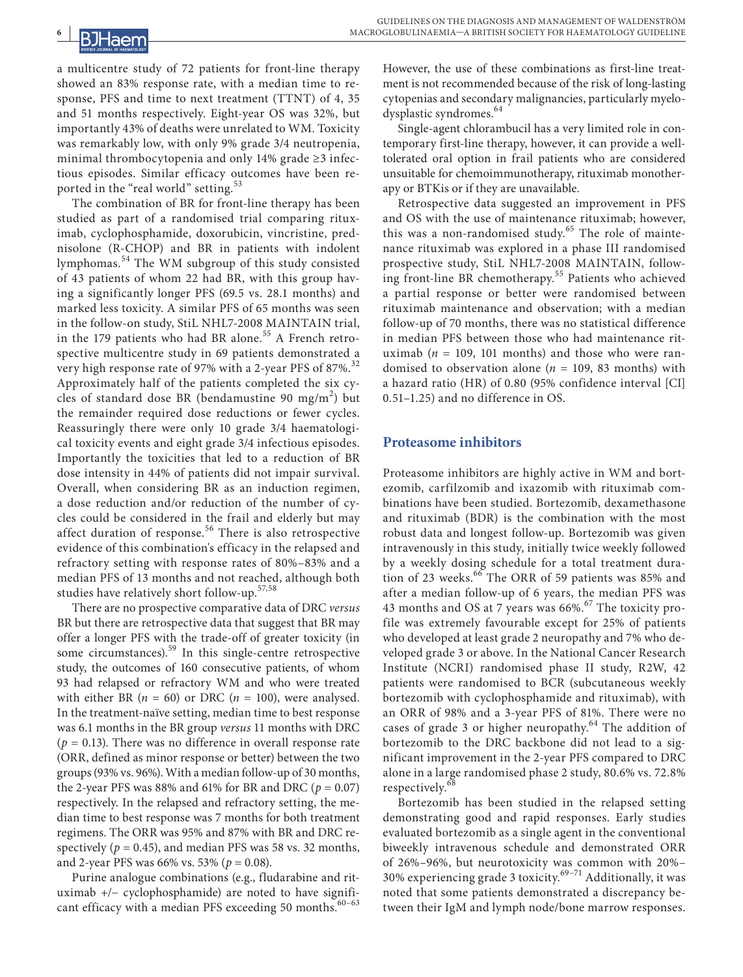#### **6 |**  laen

a multicentre study of 72 patients for front-line therapy showed an 83% response rate, with a median time to response, PFS and time to next treatment (TTNT) of 4, 35 and 51 months respectively. Eight-year OS was 32%, but importantly 43% of deaths were unrelated to WM. Toxicity was remarkably low, with only 9% grade 3/4 neutropenia, minimal thrombocytopenia and only 14% grade ≥3 infectious episodes. Similar efficacy outcomes have been reported in the "real world" setting.<sup>53</sup>

The combination of BR for front-line therapy has been studied as part of a randomised trial comparing rituximab, cyclophosphamide, doxorubicin, vincristine, prednisolone (R-CHOP) and BR in patients with indolent lymphomas.54 The WM subgroup of this study consisted of 43 patients of whom 22 had BR, with this group having a significantly longer PFS (69.5 vs. 28.1 months) and marked less toxicity. A similar PFS of 65 months was seen in the follow-on study, StiL NHL7-2008 MAINTAIN trial, in the 179 patients who had BR alone. $55$  A French retrospective multicentre study in 69 patients demonstrated a very high response rate of 97% with a 2-year PFS of 87%.<sup>32</sup> Approximately half of the patients completed the six cycles of standard dose BR (bendamustine 90 mg/m<sup>2</sup>) but the remainder required dose reductions or fewer cycles. Reassuringly there were only 10 grade 3/4 haematological toxicity events and eight grade 3/4 infectious episodes. Importantly the toxicities that led to a reduction of BR dose intensity in 44% of patients did not impair survival. Overall, when considering BR as an induction regimen, a dose reduction and/or reduction of the number of cycles could be considered in the frail and elderly but may affect duration of response.<sup>56</sup> There is also retrospective evidence of this combination's efficacy in the relapsed and refractory setting with response rates of 80%–83% and a median PFS of 13 months and not reached, although both studies have relatively short follow-up.<sup>57,58</sup>

There are no prospective comparative data of DRC *versus* BR but there are retrospective data that suggest that BR may offer a longer PFS with the trade-off of greater toxicity (in some circumstances).<sup>59</sup> In this single-centre retrospective study, the outcomes of 160 consecutive patients, of whom 93 had relapsed or refractory WM and who were treated with either BR  $(n = 60)$  or DRC  $(n = 100)$ , were analysed. In the treatment-naïve setting, median time to best response was 6.1 months in the BR group *versus* 11 months with DRC  $(p = 0.13)$ . There was no difference in overall response rate (ORR, defined as minor response or better) between the two groups (93% vs. 96%). With a median follow-up of 30 months, the 2-year PFS was 88% and 61% for BR and DRC  $(p = 0.07)$ respectively. In the relapsed and refractory setting, the median time to best response was 7 months for both treatment regimens. The ORR was 95% and 87% with BR and DRC respectively ( $p = 0.45$ ), and median PFS was 58 vs. 32 months, and 2-year PFS was 66% vs. 53% (*p* = 0.08).

Purine analogue combinations (e.g., fludarabine and rituximab +/− cyclophosphamide) are noted to have significant efficacy with a median PFS exceeding 50 months. $60-63$ 

However, the use of these combinations as first-line treatment is not recommended because of the risk of long-lasting cytopenias and secondary malignancies, particularly myelodysplastic syndromes.<sup>64</sup>

Single-agent chlorambucil has a very limited role in contemporary first-line therapy, however, it can provide a welltolerated oral option in frail patients who are considered unsuitable for chemoimmunotherapy, rituximab monotherapy or BTKis or if they are unavailable.

Retrospective data suggested an improvement in PFS and OS with the use of maintenance rituximab; however, this was a non-randomised study.<sup>65</sup> The role of maintenance rituximab was explored in a phase III randomised prospective study, StiL NHL7-2008 MAINTAIN, following front-line BR chemotherapy.<sup>55</sup> Patients who achieved a partial response or better were randomised between rituximab maintenance and observation; with a median follow-up of 70 months, there was no statistical difference in median PFS between those who had maintenance rituximab ( $n = 109$ , 101 months) and those who were randomised to observation alone ( $n = 109$ , 83 months) with a hazard ratio (HR) of 0.80 (95% confidence interval [CI] 0.51–1.25) and no difference in OS.

#### **Proteasome inhibitors**

Proteasome inhibitors are highly active in WM and bortezomib, carfilzomib and ixazomib with rituximab combinations have been studied. Bortezomib, dexamethasone and rituximab (BDR) is the combination with the most robust data and longest follow-up. Bortezomib was given intravenously in this study, initially twice weekly followed by a weekly dosing schedule for a total treatment duration of 23 weeks.<sup>66</sup> The ORR of 59 patients was 85% and after a median follow-up of 6 years, the median PFS was 43 months and OS at 7 years was 66%.<sup>67</sup> The toxicity profile was extremely favourable except for 25% of patients who developed at least grade 2 neuropathy and 7% who developed grade 3 or above. In the National Cancer Research Institute (NCRI) randomised phase II study, R2W, 42 patients were randomised to BCR (subcutaneous weekly bortezomib with cyclophosphamide and rituximab), with an ORR of 98% and a 3-year PFS of 81%. There were no cases of grade 3 or higher neuropathy. $64$  The addition of bortezomib to the DRC backbone did not lead to a significant improvement in the 2-year PFS compared to DRC alone in a large randomised phase 2 study, 80.6% vs. 72.8% respectively.<sup>68</sup>

Bortezomib has been studied in the relapsed setting demonstrating good and rapid responses. Early studies evaluated bortezomib as a single agent in the conventional biweekly intravenous schedule and demonstrated ORR of 26%–96%, but neurotoxicity was common with 20%– 30% experiencing grade 3 toxicity. $69-71$  Additionally, it was noted that some patients demonstrated a discrepancy between their IgM and lymph node/bone marrow responses.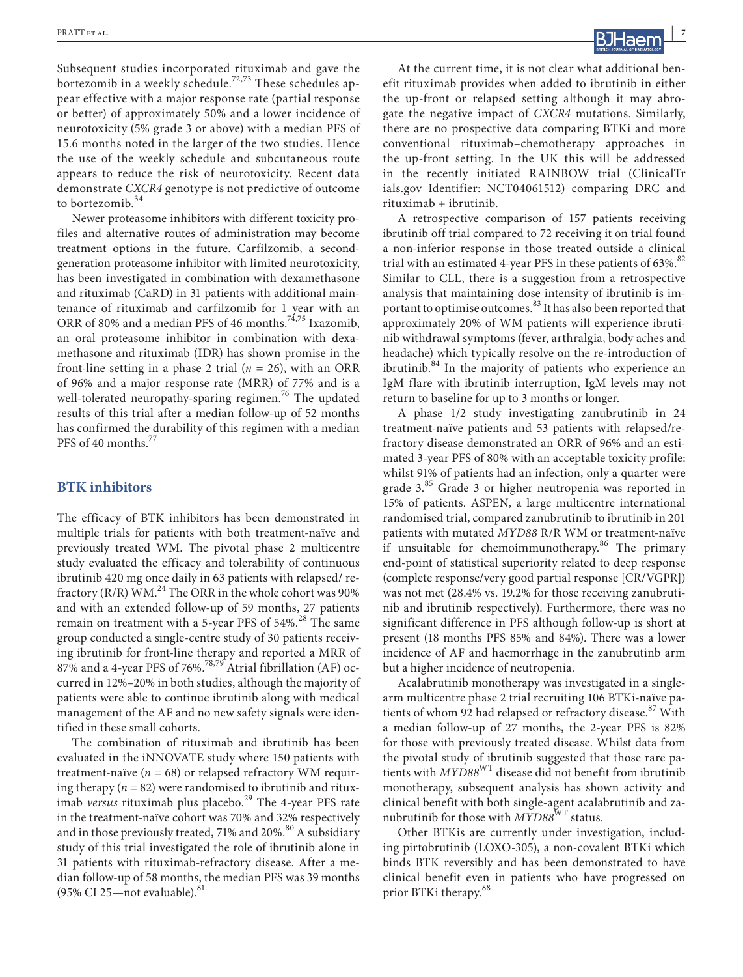Subsequent studies incorporated rituximab and gave the bortezomib in a weekly schedule.<sup>72,73</sup> These schedules appear effective with a major response rate (partial response or better) of approximately 50% and a lower incidence of neurotoxicity (5% grade 3 or above) with a median PFS of 15.6 months noted in the larger of the two studies. Hence the use of the weekly schedule and subcutaneous route appears to reduce the risk of neurotoxicity. Recent data demonstrate *CXCR4* genotype is not predictive of outcome to bortezomib.<sup>34</sup>

Newer proteasome inhibitors with different toxicity profiles and alternative routes of administration may become treatment options in the future. Carfilzomib, a secondgeneration proteasome inhibitor with limited neurotoxicity, has been investigated in combination with dexamethasone and rituximab (CaRD) in 31 patients with additional maintenance of rituximab and carfilzomib for 1 year with an ORR of 80% and a median PFS of 46 months.<sup>74,75</sup> Ixazomib, an oral proteasome inhibitor in combination with dexamethasone and rituximab (IDR) has shown promise in the front-line setting in a phase 2 trial  $(n = 26)$ , with an ORR of 96% and a major response rate (MRR) of 77% and is a well-tolerated neuropathy-sparing regimen.<sup>76</sup> The updated results of this trial after a median follow-up of 52 months has confirmed the durability of this regimen with a median PFS of 40 months.<sup>77</sup>

#### **BTK inhibitors**

The efficacy of BTK inhibitors has been demonstrated in multiple trials for patients with both treatment-naïve and previously treated WM. The pivotal phase 2 multicentre study evaluated the efficacy and tolerability of continuous ibrutinib 420 mg once daily in 63 patients with relapsed/ refractory (R/R) WM.<sup>24</sup> The ORR in the whole cohort was 90% and with an extended follow-up of 59 months, 27 patients remain on treatment with a 5-year PFS of  $54\%$ .<sup>28</sup> The same group conducted a single-centre study of 30 patients receiving ibrutinib for front-line therapy and reported a MRR of 87% and a 4-year PFS of 76%.<sup>78,79</sup> Atrial fibrillation (AF) occurred in 12%–20% in both studies, although the majority of patients were able to continue ibrutinib along with medical management of the AF and no new safety signals were identified in these small cohorts.

The combination of rituximab and ibrutinib has been evaluated in the iNNOVATE study where 150 patients with treatment-naïve  $(n = 68)$  or relapsed refractory WM requiring therapy  $(n = 82)$  were randomised to ibrutinib and rituximab *versus* rituximab plus placebo.<sup>29</sup> The 4-year PFS rate in the treatment-naïve cohort was 70% and 32% respectively and in those previously treated, 71% and 20%.<sup>80</sup> A subsidiary study of this trial investigated the role of ibrutinib alone in 31 patients with rituximab-refractory disease. After a median follow-up of 58 months, the median PFS was 39 months (95% CI 25—not evaluable). $81$ 

At the current time, it is not clear what additional benefit rituximab provides when added to ibrutinib in either the up-front or relapsed setting although it may abrogate the negative impact of *CXCR4* mutations. Similarly, there are no prospective data comparing BTKi and more conventional rituximab–chemotherapy approaches in the up-front setting. In the UK this will be addressed in the recently initiated RAINBOW trial [\(ClinicalTr](http://ClinicalTrials.gov) [ials.gov](http://ClinicalTrials.gov) Identifier: NCT04061512) comparing DRC and rituximab + ibrutinib.

A retrospective comparison of 157 patients receiving ibrutinib off trial compared to 72 receiving it on trial found a non-inferior response in those treated outside a clinical trial with an estimated 4-year PFS in these patients of  $63\%$ .<sup>82</sup> Similar to CLL, there is a suggestion from a retrospective analysis that maintaining dose intensity of ibrutinib is important to optimise outcomes.<sup>83</sup> It has also been reported that approximately 20% of WM patients will experience ibrutinib withdrawal symptoms (fever, arthralgia, body aches and headache) which typically resolve on the re-introduction of ibrutinib.<sup>84</sup> In the majority of patients who experience an IgM flare with ibrutinib interruption, IgM levels may not return to baseline for up to 3 months or longer.

A phase 1/2 study investigating zanubrutinib in 24 treatment-naïve patients and 53 patients with relapsed/refractory disease demonstrated an ORR of 96% and an estimated 3-year PFS of 80% with an acceptable toxicity profile: whilst 91% of patients had an infection, only a quarter were grade 3.<sup>85</sup> Grade 3 or higher neutropenia was reported in 15% of patients. ASPEN, a large multicentre international randomised trial, compared zanubrutinib to ibrutinib in 201 patients with mutated *MYD88* R/R WM or treatment-naïve if unsuitable for chemoimmunotherapy. $86$  The primary end-point of statistical superiority related to deep response (complete response/very good partial response [CR/VGPR]) was not met (28.4% vs. 19.2% for those receiving zanubrutinib and ibrutinib respectively). Furthermore, there was no significant difference in PFS although follow-up is short at present (18 months PFS 85% and 84%). There was a lower incidence of AF and haemorrhage in the zanubrutinb arm but a higher incidence of neutropenia.

Acalabrutinib monotherapy was investigated in a singlearm multicentre phase 2 trial recruiting 106 BTKi-naïve patients of whom 92 had relapsed or refractory disease.<sup>87</sup> With a median follow-up of 27 months, the 2-year PFS is 82% for those with previously treated disease. Whilst data from the pivotal study of ibrutinib suggested that those rare patients with *MYD88*WT disease did not benefit from ibrutinib monotherapy, subsequent analysis has shown activity and clinical benefit with both single-agent acalabrutinib and zanubrutinib for those with  $\check{MYD88}^{\text{WT}}$  status.

Other BTKis are currently under investigation, including pirtobrutinib (LOXO-305), a non-covalent BTKi which binds BTK reversibly and has been demonstrated to have clinical benefit even in patients who have progressed on prior BTKi therapy.<sup>88</sup>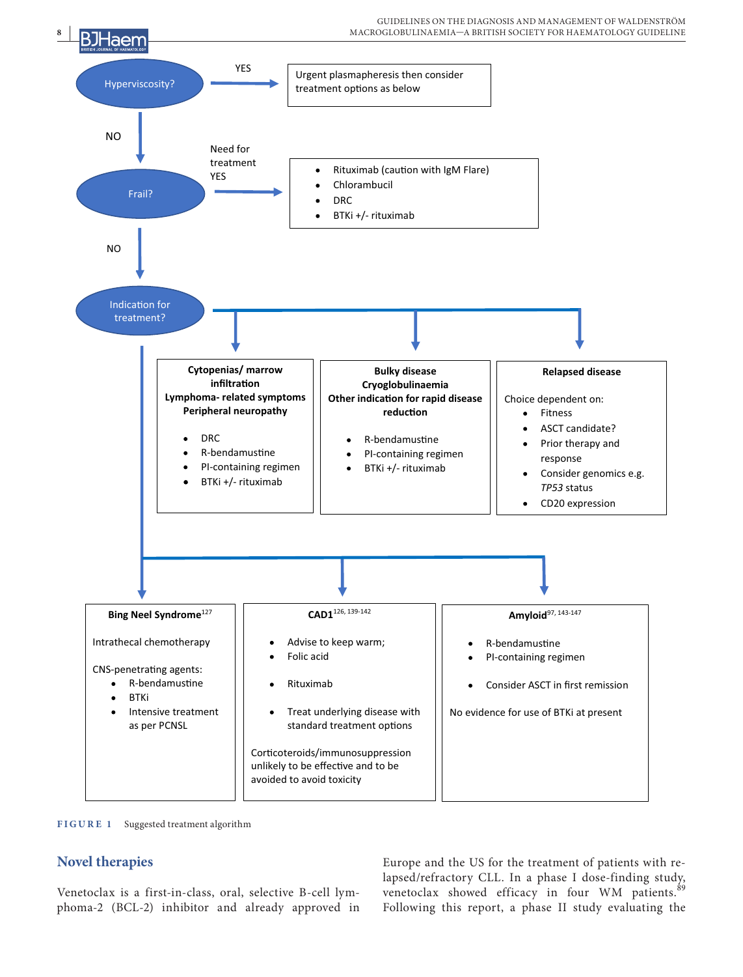

**FIGURE 1** Suggested treatment algorithm

# **Novel therapies**

Venetoclax is a first-in-class, oral, selective B-cell lymphoma-2 (BCL-2) inhibitor and already approved in

Europe and the US for the treatment of patients with relapsed/refractory CLL. In a phase I dose-finding study, venetoclax showed efficacy in four WM patients.<sup>89</sup> Following this report, a phase II study evaluating the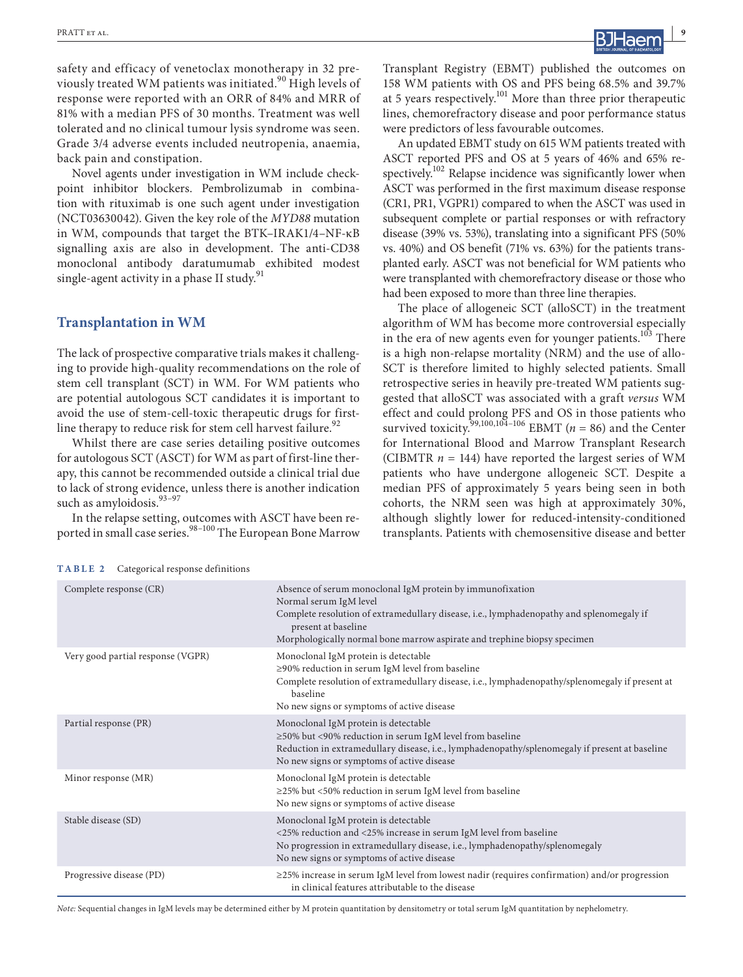**RATT et al. PRATT et al. 1996** 

safety and efficacy of venetoclax monotherapy in 32 previously treated WM patients was initiated.<sup>90</sup> High levels of response were reported with an ORR of 84% and MRR of 81% with a median PFS of 30 months. Treatment was well tolerated and no clinical tumour lysis syndrome was seen. Grade 3/4 adverse events included neutropenia, anaemia, back pain and constipation.

Novel agents under investigation in WM include checkpoint inhibitor blockers. Pembrolizumab in combination with rituximab is one such agent under investigation (NCT03630042). Given the key role of the *MYD88* mutation in WM, compounds that target the BTK–IRAK1/4–NF-κB signalling axis are also in development. The anti-CD38 monoclonal antibody daratumumab exhibited modest single-agent activity in a phase II study.<sup>91</sup>

#### **Transplantation in WM**

The lack of prospective comparative trials makes it challenging to provide high-quality recommendations on the role of stem cell transplant (SCT) in WM. For WM patients who are potential autologous SCT candidates it is important to avoid the use of stem-cell-toxic therapeutic drugs for firstline therapy to reduce risk for stem cell harvest failure.<sup>92</sup>

Whilst there are case series detailing positive outcomes for autologous SCT (ASCT) for WM as part of first-line therapy, this cannot be recommended outside a clinical trial due to lack of strong evidence, unless there is another indication such as amyloidosis.<sup>93-97</sup>

In the relapse setting, outcomes with ASCT have been reported in small case series.<sup>98–100</sup> The European Bone Marrow Transplant Registry (EBMT) published the outcomes on 158 WM patients with OS and PFS being 68.5% and 39.7% at 5 years respectively.<sup>101</sup> More than three prior therapeutic lines, chemorefractory disease and poor performance status were predictors of less favourable outcomes.

An updated EBMT study on 615 WM patients treated with ASCT reported PFS and OS at 5 years of 46% and 65% respectively.<sup>102</sup> Relapse incidence was significantly lower when ASCT was performed in the first maximum disease response (CR1, PR1, VGPR1) compared to when the ASCT was used in subsequent complete or partial responses or with refractory disease (39% vs. 53%), translating into a significant PFS (50% vs. 40%) and OS benefit (71% vs. 63%) for the patients transplanted early. ASCT was not beneficial for WM patients who were transplanted with chemorefractory disease or those who had been exposed to more than three line therapies.

The place of allogeneic SCT (alloSCT) in the treatment algorithm of WM has become more controversial especially in the era of new agents even for younger patients.<sup>103</sup> There is a high non-relapse mortality (NRM) and the use of allo-SCT is therefore limited to highly selected patients. Small retrospective series in heavily pre-treated WM patients suggested that alloSCT was associated with a graft *versus* WM effect and could prolong PFS and OS in those patients who survived toxicity.<sup>99,100,104–106</sup> EBMT ( $n = 86$ ) and the Center for International Blood and Marrow Transplant Research (CIBMTR  $n = 144$ ) have reported the largest series of WM patients who have undergone allogeneic SCT. Despite a median PFS of approximately 5 years being seen in both cohorts, the NRM seen was high at approximately 30%, although slightly lower for reduced-intensity-conditioned transplants. Patients with chemosensitive disease and better

|  |  | TABLE 2 |  |  | Categorical response definitions |  |  |
|--|--|---------|--|--|----------------------------------|--|--|
|--|--|---------|--|--|----------------------------------|--|--|

| Complete response (CR)            | Absence of serum monoclonal IgM protein by immunofixation<br>Normal serum IgM level<br>Complete resolution of extramedullary disease, i.e., lymphadenopathy and splenomegaly if<br>present at baseline<br>Morphologically normal bone marrow aspirate and trephine biopsy specimen |
|-----------------------------------|------------------------------------------------------------------------------------------------------------------------------------------------------------------------------------------------------------------------------------------------------------------------------------|
| Very good partial response (VGPR) | Monoclonal IgM protein is detectable<br>≥90% reduction in serum IgM level from baseline<br>Complete resolution of extramedullary disease, i.e., lymphadenopathy/splenomegaly if present at<br>baseline<br>No new signs or symptoms of active disease                               |
| Partial response (PR)             | Monoclonal IgM protein is detectable<br>≥50% but <90% reduction in serum IgM level from baseline<br>Reduction in extramedullary disease, i.e., lymphadenopathy/splenomegaly if present at baseline<br>No new signs or symptoms of active disease                                   |
| Minor response (MR)               | Monoclonal IgM protein is detectable<br>≥25% but <50% reduction in serum IgM level from baseline<br>No new signs or symptoms of active disease                                                                                                                                     |
| Stable disease (SD)               | Monoclonal IgM protein is detectable<br><25% reduction and <25% increase in serum IgM level from baseline<br>No progression in extramedullary disease, i.e., lymphadenopathy/splenomegaly<br>No new signs or symptoms of active disease                                            |
| Progressive disease (PD)          | $\geq$ 25% increase in serum IgM level from lowest nadir (requires confirmation) and/or progression<br>in clinical features attributable to the disease                                                                                                                            |

*Note:* Sequential changes in IgM levels may be determined either by M protein quantitation by densitometry or total serum IgM quantitation by nephelometry.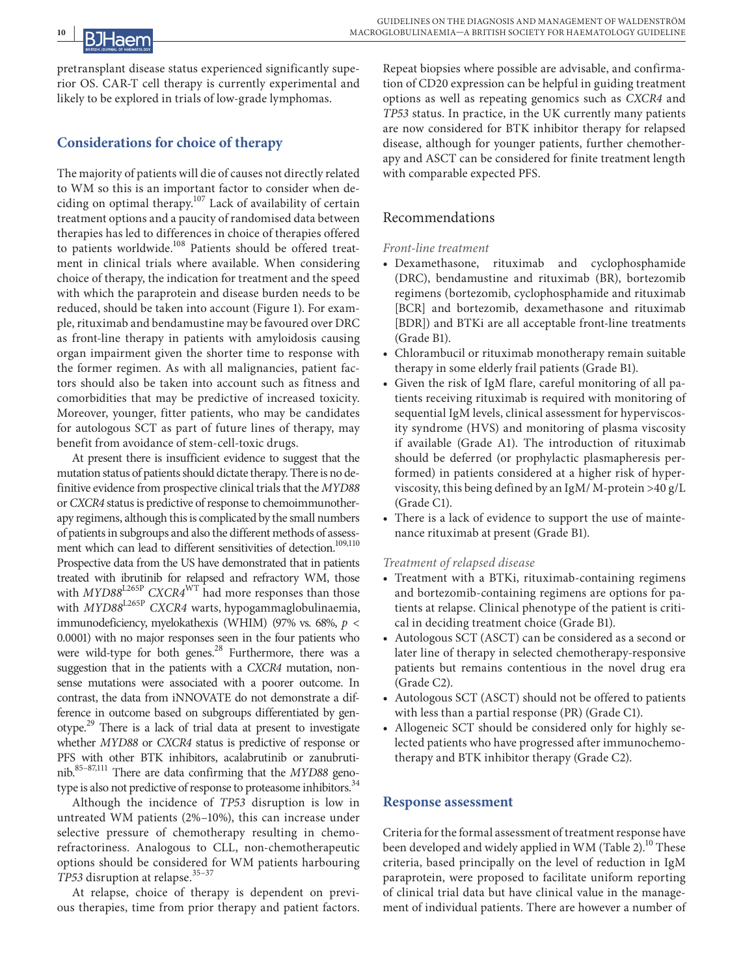pretransplant disease status experienced significantly superior OS. CAR-T cell therapy is currently experimental and likely to be explored in trials of low-grade lymphomas.

# **Considerations for choice of therapy**

The majority of patients will die of causes not directly related to WM so this is an important factor to consider when deciding on optimal therapy. $107$  Lack of availability of certain treatment options and a paucity of randomised data between therapies has led to differences in choice of therapies offered to patients worldwide.<sup>108</sup> Patients should be offered treatment in clinical trials where available. When considering choice of therapy, the indication for treatment and the speed with which the paraprotein and disease burden needs to be reduced, should be taken into account (Figure 1). For example, rituximab and bendamustine may be favoured over DRC as front-line therapy in patients with amyloidosis causing organ impairment given the shorter time to response with the former regimen. As with all malignancies, patient factors should also be taken into account such as fitness and comorbidities that may be predictive of increased toxicity. Moreover, younger, fitter patients, who may be candidates for autologous SCT as part of future lines of therapy, may benefit from avoidance of stem-cell-toxic drugs.

At present there is insufficient evidence to suggest that the mutation status of patients should dictate therapy. There is no definitive evidence from prospective clinical trials that the *MYD88* or *CXCR4* status is predictive of response to chemoimmunotherapy regimens, although this is complicated by the small numbers of patients in subgroups and also the different methods of assessment which can lead to different sensitivities of detection.<sup>109,110</sup> Prospective data from the US have demonstrated that in patients treated with ibrutinib for relapsed and refractory WM, those with  $MYD88^{L265P}$  *CXCR4<sup>WT</sup>* had more responses than those with *MYD88*L265P *CXCR4* warts, hypogammaglobulinaemia, immunodeficiency, myelokathexis (WHIM) (97% vs. 68%, *p* < 0.0001) with no major responses seen in the four patients who were wild-type for both genes. $^{28}$  Furthermore, there was a suggestion that in the patients with a *CXCR4* mutation, nonsense mutations were associated with a poorer outcome. In contrast, the data from iNNOVATE do not demonstrate a difference in outcome based on subgroups differentiated by genotype.<sup>29</sup> There is a lack of trial data at present to investigate whether *MYD88* or *CXCR4* status is predictive of response or PFS with other BTK inhibitors, acalabrutinib or zanubrutinib.85–87,111 There are data confirming that the *MYD88* genotype is also not predictive of response to proteasome inhibitors.<sup>34</sup>

Although the incidence of *TP53* disruption is low in untreated WM patients (2%–10%), this can increase under selective pressure of chemotherapy resulting in chemorefractoriness. Analogous to CLL, non-chemotherapeutic options should be considered for WM patients harbouring *TP53* disruption at relapse.<sup>35-37</sup>

At relapse, choice of therapy is dependent on previous therapies, time from prior therapy and patient factors.

Repeat biopsies where possible are advisable, and confirmation of CD20 expression can be helpful in guiding treatment options as well as repeating genomics such as *CXCR4* and *TP53* status. In practice, in the UK currently many patients are now considered for BTK inhibitor therapy for relapsed disease, although for younger patients, further chemotherapy and ASCT can be considered for finite treatment length with comparable expected PFS.

### Recommendations

#### *Front-line treatment*

- **•** Dexamethasone, rituximab and cyclophosphamide (DRC), bendamustine and rituximab (BR), bortezomib regimens (bortezomib, cyclophosphamide and rituximab [BCR] and bortezomib, dexamethasone and rituximab [BDR]) and BTKi are all acceptable front-line treatments (Grade B1).
- **•** Chlorambucil or rituximab monotherapy remain suitable therapy in some elderly frail patients (Grade B1).
- **•** Given the risk of IgM flare, careful monitoring of all patients receiving rituximab is required with monitoring of sequential IgM levels, clinical assessment for hyperviscosity syndrome (HVS) and monitoring of plasma viscosity if available (Grade A1). The introduction of rituximab should be deferred (or prophylactic plasmapheresis performed) in patients considered at a higher risk of hyperviscosity, this being defined by an IgM/ M-protein >40 g/L (Grade C1).
- **•** There is a lack of evidence to support the use of maintenance rituximab at present (Grade B1).

#### *Treatment of relapsed disease*

- **•** Treatment with a BTKi, rituximab-containing regimens and bortezomib-containing regimens are options for patients at relapse. Clinical phenotype of the patient is critical in deciding treatment choice (Grade B1).
- **•** Autologous SCT (ASCT) can be considered as a second or later line of therapy in selected chemotherapy-responsive patients but remains contentious in the novel drug era (Grade C2).
- **•** Autologous SCT (ASCT) should not be offered to patients with less than a partial response (PR) (Grade C1).
- **•** Allogeneic SCT should be considered only for highly selected patients who have progressed after immunochemotherapy and BTK inhibitor therapy (Grade C2).

### **Response assessment**

Criteria for the formal assessment of treatment response have been developed and widely applied in WM (Table 2).<sup>10</sup> These criteria, based principally on the level of reduction in IgM paraprotein, were proposed to facilitate uniform reporting of clinical trial data but have clinical value in the management of individual patients. There are however a number of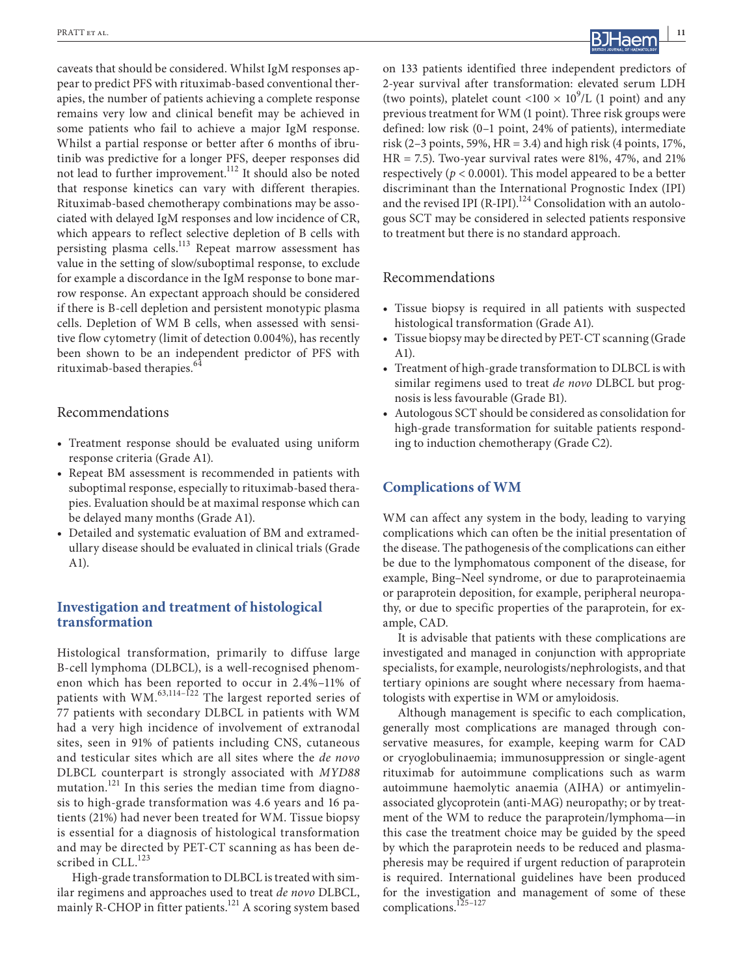caveats that should be considered. Whilst IgM responses appear to predict PFS with rituximab-based conventional therapies, the number of patients achieving a complete response remains very low and clinical benefit may be achieved in some patients who fail to achieve a major IgM response. Whilst a partial response or better after 6 months of ibrutinib was predictive for a longer PFS, deeper responses did not lead to further improvement.112 It should also be noted that response kinetics can vary with different therapies. Rituximab-based chemotherapy combinations may be associated with delayed IgM responses and low incidence of CR, which appears to reflect selective depletion of B cells with persisting plasma cells.<sup>113</sup> Repeat marrow assessment has value in the setting of slow/suboptimal response, to exclude for example a discordance in the IgM response to bone marrow response. An expectant approach should be considered if there is B-cell depletion and persistent monotypic plasma cells. Depletion of WM B cells, when assessed with sensitive flow cytometry (limit of detection 0.004%), has recently been shown to be an independent predictor of PFS with rituximab-based therapies.<sup>64</sup>

#### Recommendations

- **•** Treatment response should be evaluated using uniform response criteria (Grade A1).
- **•** Repeat BM assessment is recommended in patients with suboptimal response, especially to rituximab-based therapies. Evaluation should be at maximal response which can be delayed many months (Grade A1).
- **•** Detailed and systematic evaluation of BM and extramedullary disease should be evaluated in clinical trials (Grade A1).

#### **Investigation and treatment of histological transformation**

Histological transformation, primarily to diffuse large B-cell lymphoma (DLBCL), is a well-recognised phenomenon which has been reported to occur in 2.4%–11% of patients with WM.<sup>63,114-122</sup> The largest reported series of 77 patients with secondary DLBCL in patients with WM had a very high incidence of involvement of extranodal sites, seen in 91% of patients including CNS, cutaneous and testicular sites which are all sites where the *de novo* DLBCL counterpart is strongly associated with *MYD88* mutation.<sup>121</sup> In this series the median time from diagnosis to high-grade transformation was 4.6 years and 16 patients (21%) had never been treated for WM. Tissue biopsy is essential for a diagnosis of histological transformation and may be directed by PET-CT scanning as has been described in CLL.<sup>123</sup>

High-grade transformation to DLBCL is treated with similar regimens and approaches used to treat *de novo* DLBCL, mainly R-CHOP in fitter patients.<sup>121</sup> A scoring system based on 133 patients identified three independent predictors of 2-year survival after transformation: elevated serum LDH (two points), platelet count <100  $\times$  10<sup>9</sup>/L (1 point) and any previous treatment for WM (1 point). Three risk groups were defined: low risk (0–1 point, 24% of patients), intermediate risk (2–3 points, 59%, HR = 3.4) and high risk (4 points,  $17\%$ ,  $HR = 7.5$ ). Two-year survival rates were 81%, 47%, and 21% respectively (*p* < 0.0001). This model appeared to be a better discriminant than the International Prognostic Index (IPI) and the revised IPI (R-IPI). $^{124}$  Consolidation with an autologous SCT may be considered in selected patients responsive to treatment but there is no standard approach.

#### Recommendations

- **•** Tissue biopsy is required in all patients with suspected histological transformation (Grade A1).
- **•** Tissue biopsy may be directed by PET-CT scanning (Grade A1).
- **•** Treatment of high-grade transformation to DLBCL is with similar regimens used to treat *de novo* DLBCL but prognosis is less favourable (Grade B1).
- **•** Autologous SCT should be considered as consolidation for high-grade transformation for suitable patients responding to induction chemotherapy (Grade C2).

#### **Complications of WM**

WM can affect any system in the body, leading to varying complications which can often be the initial presentation of the disease. The pathogenesis of the complications can either be due to the lymphomatous component of the disease, for example, Bing–Neel syndrome, or due to paraproteinaemia or paraprotein deposition, for example, peripheral neuropathy, or due to specific properties of the paraprotein, for example, CAD.

It is advisable that patients with these complications are investigated and managed in conjunction with appropriate specialists, for example, neurologists/nephrologists, and that tertiary opinions are sought where necessary from haematologists with expertise in WM or amyloidosis.

Although management is specific to each complication, generally most complications are managed through conservative measures, for example, keeping warm for CAD or cryoglobulinaemia; immunosuppression or single-agent rituximab for autoimmune complications such as warm autoimmune haemolytic anaemia (AIHA) or antimyelinassociated glycoprotein (anti-MAG) neuropathy; or by treatment of the WM to reduce the paraprotein/lymphoma—in this case the treatment choice may be guided by the speed by which the paraprotein needs to be reduced and plasmapheresis may be required if urgent reduction of paraprotein is required. International guidelines have been produced for the investigation and management of some of these complications.125–127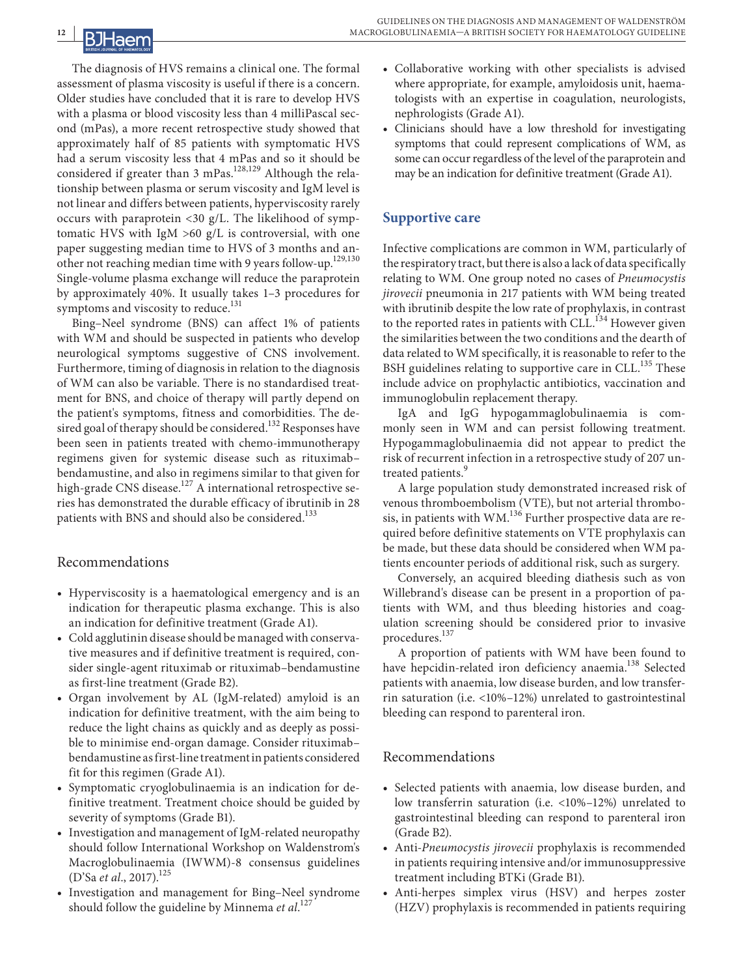# **12 |**

The diagnosis of HVS remains a clinical one. The formal assessment of plasma viscosity is useful if there is a concern. Older studies have concluded that it is rare to develop HVS with a plasma or blood viscosity less than 4 milliPascal second (mPas), a more recent retrospective study showed that approximately half of 85 patients with symptomatic HVS had a serum viscosity less that 4 mPas and so it should be considered if greater than 3 mPas.<sup>128,129</sup> Although the relationship between plasma or serum viscosity and IgM level is not linear and differs between patients, hyperviscosity rarely occurs with paraprotein <30 g/L. The likelihood of symptomatic HVS with IgM  $>60$  g/L is controversial, with one paper suggesting median time to HVS of 3 months and another not reaching median time with 9 years follow-up.<sup>129,130</sup> Single-volume plasma exchange will reduce the paraprotein by approximately 40%. It usually takes 1–3 procedures for symptoms and viscosity to reduce.<sup>131</sup>

Bing–Neel syndrome (BNS) can affect 1% of patients with WM and should be suspected in patients who develop neurological symptoms suggestive of CNS involvement. Furthermore, timing of diagnosis in relation to the diagnosis of WM can also be variable. There is no standardised treatment for BNS, and choice of therapy will partly depend on the patient's symptoms, fitness and comorbidities. The desired goal of therapy should be considered.<sup>132</sup> Responses have been seen in patients treated with chemo-immunotherapy regimens given for systemic disease such as rituximab– bendamustine, and also in regimens similar to that given for high-grade CNS disease.<sup>127</sup> A international retrospective series has demonstrated the durable efficacy of ibrutinib in 28 patients with BNS and should also be considered.<sup>133</sup>

# Recommendations

- **•** Hyperviscosity is a haematological emergency and is an indication for therapeutic plasma exchange. This is also an indication for definitive treatment (Grade A1).
- **•** Cold agglutinin disease should be managed with conservative measures and if definitive treatment is required, consider single-agent rituximab or rituximab–bendamustine as first-line treatment (Grade B2).
- **•** Organ involvement by AL (IgM-related) amyloid is an indication for definitive treatment, with the aim being to reduce the light chains as quickly and as deeply as possible to minimise end-organ damage. Consider rituximab– bendamustine as first-line treatment in patients considered fit for this regimen (Grade A1).
- **•** Symptomatic cryoglobulinaemia is an indication for definitive treatment. Treatment choice should be guided by severity of symptoms (Grade B1).
- **•** Investigation and management of IgM-related neuropathy should follow International Workshop on Waldenstrom's Macroglobulinaemia (IWWM)-8 consensus guidelines (D'Sa *et al.*, 2017).<sup>125</sup>
- **•** Investigation and management for Bing–Neel syndrome should follow the guideline by Minnema *et al*. 127
- **•** Collaborative working with other specialists is advised where appropriate, for example, amyloidosis unit, haematologists with an expertise in coagulation, neurologists, nephrologists (Grade A1).
- **•** Clinicians should have a low threshold for investigating symptoms that could represent complications of WM, as some can occur regardless of the level of the paraprotein and may be an indication for definitive treatment (Grade A1).

# **Supportive care**

Infective complications are common in WM, particularly of the respiratory tract, but there is also a lack of data specifically relating to WM. One group noted no cases of *Pneumocystis jirovecii* pneumonia in 217 patients with WM being treated with ibrutinib despite the low rate of prophylaxis, in contrast to the reported rates in patients with  $CLL<sup>134</sup>$  However given the similarities between the two conditions and the dearth of data related to WM specifically, it is reasonable to refer to the BSH guidelines relating to supportive care in CLL.<sup>135</sup> These include advice on prophylactic antibiotics, vaccination and immunoglobulin replacement therapy.

IgA and IgG hypogammaglobulinaemia is commonly seen in WM and can persist following treatment. Hypogammaglobulinaemia did not appear to predict the risk of recurrent infection in a retrospective study of 207 untreated patients.<sup>9</sup>

A large population study demonstrated increased risk of venous thromboembolism (VTE), but not arterial thrombosis, in patients with WM.<sup>136</sup> Further prospective data are required before definitive statements on VTE prophylaxis can be made, but these data should be considered when WM patients encounter periods of additional risk, such as surgery.

Conversely, an acquired bleeding diathesis such as von Willebrand's disease can be present in a proportion of patients with WM, and thus bleeding histories and coagulation screening should be considered prior to invasive procedures.<sup>137</sup>

A proportion of patients with WM have been found to have hepcidin-related iron deficiency anaemia.<sup>138</sup> Selected patients with anaemia, low disease burden, and low transferrin saturation (i.e. <10%–12%) unrelated to gastrointestinal bleeding can respond to parenteral iron.

# Recommendations

- **•** Selected patients with anaemia, low disease burden, and low transferrin saturation (i.e. <10%–12%) unrelated to gastrointestinal bleeding can respond to parenteral iron (Grade B2).
- **•** Anti-*Pneumocystis jirovecii* prophylaxis is recommended in patients requiring intensive and/or immunosuppressive treatment including BTKi (Grade B1).
- **•** Anti-herpes simplex virus (HSV) and herpes zoster (HZV) prophylaxis is recommended in patients requiring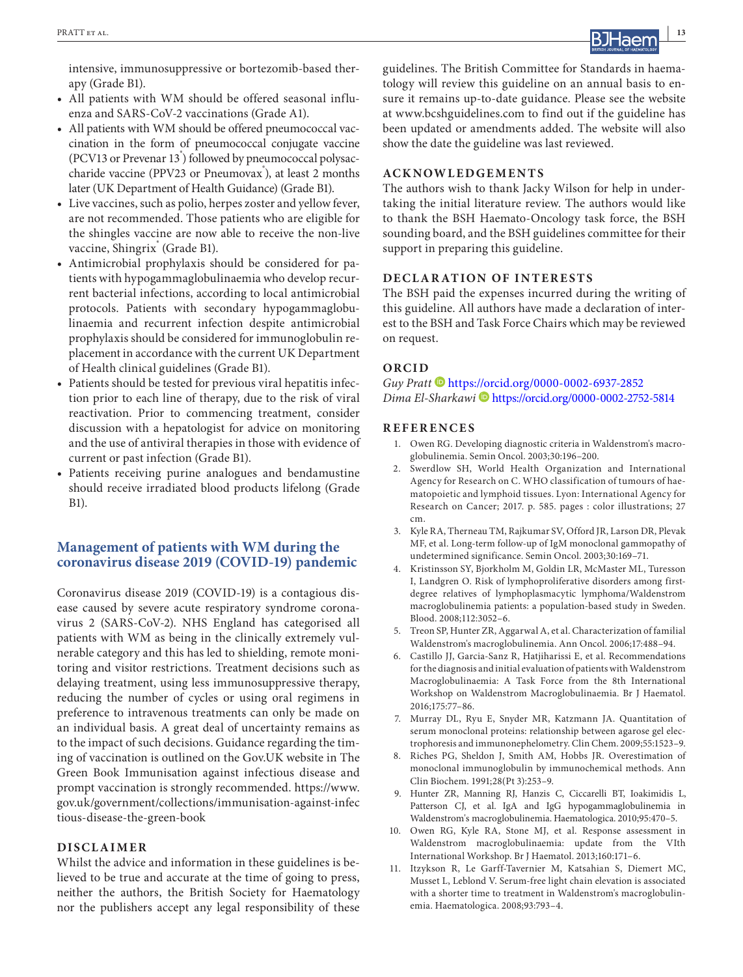

intensive, immunosuppressive or bortezomib-based therapy (Grade B1).

- **•** All patients with WM should be offered seasonal influenza and SARS-CoV-2 vaccinations (Grade A1).
- **•** All patients with WM should be offered pneumococcal vaccination in the form of pneumococcal conjugate vaccine (PCV13 or Prevenar 13<sup>°</sup>) followed by pneumococcal polysaccharide vaccine (PPV23 or Pneumovax<sup>°</sup>), at least 2 months later (UK Department of Health Guidance) (Grade B1).
- **•** Live vaccines, such as polio, herpes zoster and yellow fever, are not recommended. Those patients who are eligible for the shingles vaccine are now able to receive the non-live vaccine, Shingrix<sup>®</sup> (Grade B1).
- **•** Antimicrobial prophylaxis should be considered for patients with hypogammaglobulinaemia who develop recurrent bacterial infections, according to local antimicrobial protocols. Patients with secondary hypogammaglobulinaemia and recurrent infection despite antimicrobial prophylaxis should be considered for immunoglobulin replacement in accordance with the current UK Department of Health clinical guidelines (Grade B1).
- **•** Patients should be tested for previous viral hepatitis infection prior to each line of therapy, due to the risk of viral reactivation. Prior to commencing treatment, consider discussion with a hepatologist for advice on monitoring and the use of antiviral therapies in those with evidence of current or past infection (Grade B1).
- **•** Patients receiving purine analogues and bendamustine should receive irradiated blood products lifelong (Grade B1).

#### **Management of patients with WM during the coronavirus disease 2019 (COVID-19) pandemic**

Coronavirus disease 2019 (COVID-19) is a contagious disease caused by severe acute respiratory syndrome coronavirus 2 (SARS-CoV-2). NHS England has categorised all patients with WM as being in the clinically extremely vulnerable category and this has led to shielding, remote monitoring and visitor restrictions. Treatment decisions such as delaying treatment, using less immunosuppressive therapy, reducing the number of cycles or using oral regimens in preference to intravenous treatments can only be made on an individual basis. A great deal of uncertainty remains as to the impact of such decisions. Guidance regarding the timing of vaccination is outlined on the Gov.UK website in The Green Book Immunisation against infectious disease and prompt vaccination is strongly recommended. [https://www.](https://www.gov.uk/government/collections/immunisation-against-infectious-disease-the-green-book) [gov.uk/government/collections/immunisation-against-infec](https://www.gov.uk/government/collections/immunisation-against-infectious-disease-the-green-book) [tious-disease-the-green-book](https://www.gov.uk/government/collections/immunisation-against-infectious-disease-the-green-book)

#### **DISCLAIMER**

Whilst the advice and information in these guidelines is believed to be true and accurate at the time of going to press, neither the authors, the British Society for Haematology nor the publishers accept any legal responsibility of these

guidelines. The British Committee for Standards in haematology will review this guideline on an annual basis to ensure it remains up-to-date guidance. Please see the website at [www.bcshguidelines.com](http://www.bcshguidelines.com) to find out if the guideline has been updated or amendments added. The website will also show the date the guideline was last reviewed.

#### **ACKNOWLEDGEMENTS**

The authors wish to thank Jacky Wilson for help in undertaking the initial literature review. The authors would like to thank the BSH Haemato-Oncology task force, the BSH sounding board, and the BSH guidelines committee for their support in preparing this guideline.

#### **DECLARATION OF INTERESTS**

The BSH paid the expenses incurred during the writing of this guideline. All authors have made a declaration of interest to the BSH and Task Force Chairs which may be reviewed on request.

#### **ORCID**

*Guy Prat[t](https://orcid.org/0000-0002-6937-2852)* <https://orcid.org/0000-0002-6937-2852> *Dima El-Sharkawi* <https://orcid.org/0000-0002-2752-5814>

#### **REFERENCES**

- 1. Owen RG. Developing diagnostic criteria in Waldenstrom's macroglobulinemia. Semin Oncol. 2003;30:196–200.
- 2. Swerdlow SH, World Health Organization and International Agency for Research on C. WHO classification of tumours of haematopoietic and lymphoid tissues. Lyon: International Agency for Research on Cancer; 2017. p. 585. pages : color illustrations; 27 cm.
- 3. Kyle RA, Therneau TM, Rajkumar SV, Offord JR, Larson DR, Plevak MF, et al. Long-term follow-up of IgM monoclonal gammopathy of undetermined significance. Semin Oncol. 2003;30:169–71.
- 4. Kristinsson SY, Bjorkholm M, Goldin LR, McMaster ML, Turesson I, Landgren O. Risk of lymphoproliferative disorders among firstdegree relatives of lymphoplasmacytic lymphoma/Waldenstrom macroglobulinemia patients: a population-based study in Sweden. Blood. 2008;112:3052–6.
- 5. Treon SP, Hunter ZR, Aggarwal A, et al. Characterization of familial Waldenstrom's macroglobulinemia. Ann Oncol. 2006;17:488–94.
- 6. Castillo JJ, Garcia-Sanz R, Hatjiharissi E, et al. Recommendations for the diagnosis and initial evaluation of patients with Waldenstrom Macroglobulinaemia: A Task Force from the 8th International Workshop on Waldenstrom Macroglobulinaemia. Br J Haematol. 2016;175:77–86.
- 7. Murray DL, Ryu E, Snyder MR, Katzmann JA. Quantitation of serum monoclonal proteins: relationship between agarose gel electrophoresis and immunonephelometry. Clin Chem. 2009;55:1523–9.
- 8. Riches PG, Sheldon J, Smith AM, Hobbs JR. Overestimation of monoclonal immunoglobulin by immunochemical methods. Ann Clin Biochem. 1991;28(Pt 3):253–9.
- 9. Hunter ZR, Manning RJ, Hanzis C, Ciccarelli BT, Ioakimidis L, Patterson CJ, et al. IgA and IgG hypogammaglobulinemia in Waldenstrom's macroglobulinemia. Haematologica. 2010;95:470–5.
- 10. Owen RG, Kyle RA, Stone MJ, et al. Response assessment in Waldenstrom macroglobulinaemia: update from the VIth International Workshop. Br J Haematol. 2013;160:171–6.
- 11. Itzykson R, Le Garff-Tavernier M, Katsahian S, Diemert MC, Musset L, Leblond V. Serum-free light chain elevation is associated with a shorter time to treatment in Waldenstrom's macroglobulinemia. Haematologica. 2008;93:793–4.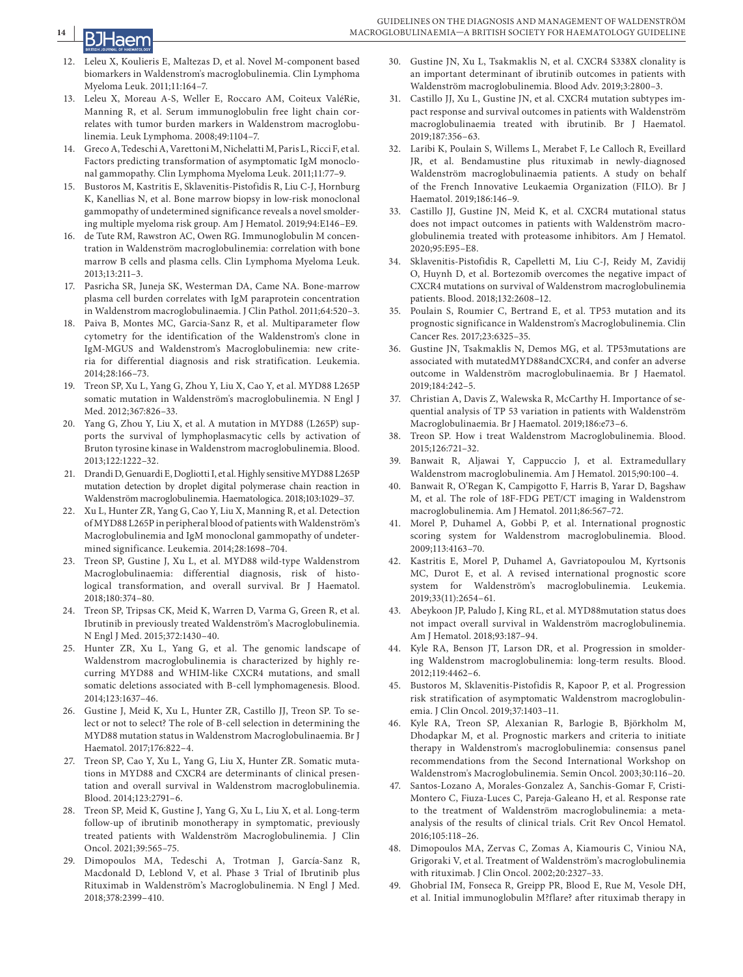

- 12. Leleu X, Koulieris E, Maltezas D, et al. Novel M-component based biomarkers in Waldenstrom's macroglobulinemia. Clin Lymphoma Myeloma Leuk. 2011;11:164–7.
- 13. Leleu X, Moreau A-S, Weller E, Roccaro AM, Coiteux ValéRie, Manning R, et al. Serum immunoglobulin free light chain correlates with tumor burden markers in Waldenstrom macroglobulinemia. Leuk Lymphoma. 2008;49:1104–7.
- Greco A, Tedeschi A, Varettoni M, Nichelatti M, Paris L, Ricci F, et al. Factors predicting transformation of asymptomatic IgM monoclonal gammopathy. Clin Lymphoma Myeloma Leuk. 2011;11:77–9.
- 15. Bustoros M, Kastritis E, Sklavenitis-Pistofidis R, Liu C-J, Hornburg K, Kanellias N, et al. Bone marrow biopsy in low-risk monoclonal gammopathy of undetermined significance reveals a novel smoldering multiple myeloma risk group. Am J Hematol. 2019;94:E146–E9.
- 16. de Tute RM, Rawstron AC, Owen RG. Immunoglobulin M concentration in Waldenström macroglobulinemia: correlation with bone marrow B cells and plasma cells. Clin Lymphoma Myeloma Leuk. 2013;13:211–3.
- 17. Pasricha SR, Juneja SK, Westerman DA, Came NA. Bone-marrow plasma cell burden correlates with IgM paraprotein concentration in Waldenstrom macroglobulinaemia. J Clin Pathol. 2011;64:520–3.
- 18. Paiva B, Montes MC, Garcia-Sanz R, et al. Multiparameter flow cytometry for the identification of the Waldenstrom's clone in IgM-MGUS and Waldenstrom's Macroglobulinemia: new criteria for differential diagnosis and risk stratification. Leukemia. 2014;28:166–73.
- 19. Treon SP, Xu L, Yang G, Zhou Y, Liu X, Cao Y, et al. MYD88 L265P somatic mutation in Waldenström's macroglobulinemia. N Engl J Med. 2012;367:826–33.
- 20. Yang G, Zhou Y, Liu X, et al. A mutation in MYD88 (L265P) supports the survival of lymphoplasmacytic cells by activation of Bruton tyrosine kinase in Waldenstrom macroglobulinemia. Blood. 2013;122:1222–32.
- 21. Drandi D, Genuardi E, Dogliotti I, et al. Highly sensitive MYD88 L265P mutation detection by droplet digital polymerase chain reaction in Waldenström macroglobulinemia. Haematologica. 2018;103:1029–37.
- 22. Xu L, Hunter ZR, Yang G, Cao Y, Liu X, Manning R, et al. Detection of MYD88 L265P in peripheral blood of patients with Waldenström's Macroglobulinemia and IgM monoclonal gammopathy of undetermined significance. Leukemia. 2014;28:1698–704.
- 23. Treon SP, Gustine J, Xu L, et al. MYD88 wild-type Waldenstrom Macroglobulinaemia: differential diagnosis, risk of histological transformation, and overall survival. Br J Haematol. 2018;180:374–80.
- 24. Treon SP, Tripsas CK, Meid K, Warren D, Varma G, Green R, et al. Ibrutinib in previously treated Waldenström's Macroglobulinemia. N Engl J Med. 2015;372:1430–40.
- 25. Hunter ZR, Xu L, Yang G, et al. The genomic landscape of Waldenstrom macroglobulinemia is characterized by highly recurring MYD88 and WHIM-like CXCR4 mutations, and small somatic deletions associated with B-cell lymphomagenesis. Blood. 2014;123:1637–46.
- 26. Gustine J, Meid K, Xu L, Hunter ZR, Castillo JJ, Treon SP. To select or not to select? The role of B-cell selection in determining the MYD88 mutation status in Waldenstrom Macroglobulinaemia. Br J Haematol. 2017;176:822–4.
- 27. Treon SP, Cao Y, Xu L, Yang G, Liu X, Hunter ZR. Somatic mutations in MYD88 and CXCR4 are determinants of clinical presentation and overall survival in Waldenstrom macroglobulinemia. Blood. 2014;123:2791–6.
- 28. Treon SP, Meid K, Gustine J, Yang G, Xu L, Liu X, et al. Long-term follow-up of ibrutinib monotherapy in symptomatic, previously treated patients with Waldenström Macroglobulinemia. J Clin Oncol. 2021;39:565–75.
- 29. Dimopoulos MA, Tedeschi A, Trotman J, García-Sanz R, Macdonald D, Leblond V, et al. Phase 3 Trial of Ibrutinib plus Rituximab in Waldenström's Macroglobulinemia. N Engl J Med. 2018;378:2399–410.
- 30. Gustine JN, Xu L, Tsakmaklis N, et al. CXCR4 S338X clonality is an important determinant of ibrutinib outcomes in patients with Waldenström macroglobulinemia. Blood Adv. 2019;3:2800–3.
- 31. Castillo JJ, Xu L, Gustine JN, et al. CXCR4 mutation subtypes impact response and survival outcomes in patients with Waldenström macroglobulinaemia treated with ibrutinib. Br J Haematol. 2019;187:356–63.
- 32. Laribi K, Poulain S, Willems L, Merabet F, Le Calloch R, Eveillard JR, et al. Bendamustine plus rituximab in newly-diagnosed Waldenström macroglobulinaemia patients. A study on behalf of the French Innovative Leukaemia Organization (FILO). Br J Haematol. 2019;186:146–9.
- 33. Castillo JJ, Gustine JN, Meid K, et al. CXCR4 mutational status does not impact outcomes in patients with Waldenström macroglobulinemia treated with proteasome inhibitors. Am J Hematol. 2020;95:E95–E8.
- 34. Sklavenitis-Pistofidis R, Capelletti M, Liu C-J, Reidy M, Zavidij O, Huynh D, et al. Bortezomib overcomes the negative impact of CXCR4 mutations on survival of Waldenstrom macroglobulinemia patients. Blood. 2018;132:2608–12.
- 35. Poulain S, Roumier C, Bertrand E, et al. TP53 mutation and its prognostic significance in Waldenstrom's Macroglobulinemia. Clin Cancer Res. 2017;23:6325–35.
- 36. Gustine JN, Tsakmaklis N, Demos MG, et al. TP53mutations are associated with mutatedMYD88andCXCR4, and confer an adverse outcome in Waldenström macroglobulinaemia. Br J Haematol. 2019;184:242–5.
- 37. Christian A, Davis Z, Walewska R, McCarthy H. Importance of sequential analysis of TP 53 variation in patients with Waldenström Macroglobulinaemia. Br J Haematol. 2019;186:e73–6.
- 38. Treon SP. How i treat Waldenstrom Macroglobulinemia. Blood. 2015;126:721–32.
- 39. Banwait R, Aljawai Y, Cappuccio J, et al. Extramedullary Waldenstrom macroglobulinemia. Am J Hematol. 2015;90:100–4.
- 40. Banwait R, O'Regan K, Campigotto F, Harris B, Yarar D, Bagshaw M, et al. The role of 18F-FDG PET/CT imaging in Waldenstrom macroglobulinemia. Am J Hematol. 2011;86:567–72.
- 41. Morel P, Duhamel A, Gobbi P, et al. International prognostic scoring system for Waldenstrom macroglobulinemia. Blood. 2009;113:4163–70.
- 42. Kastritis E, Morel P, Duhamel A, Gavriatopoulou M, Kyrtsonis MC, Durot E, et al. A revised international prognostic score system for Waldenström's macroglobulinemia. Leukemia. 2019;33(11):2654–61.
- 43. Abeykoon JP, Paludo J, King RL, et al. MYD88mutation status does not impact overall survival in Waldenström macroglobulinemia. Am J Hematol. 2018;93:187–94.
- 44. Kyle RA, Benson JT, Larson DR, et al. Progression in smoldering Waldenstrom macroglobulinemia: long-term results. Blood. 2012;119:4462–6.
- 45. Bustoros M, Sklavenitis-Pistofidis R, Kapoor P, et al. Progression risk stratification of asymptomatic Waldenstrom macroglobulinemia. J Clin Oncol. 2019;37:1403–11.
- 46. Kyle RA, Treon SP, Alexanian R, Barlogie B, Björkholm M, Dhodapkar M, et al. Prognostic markers and criteria to initiate therapy in Waldenstrom's macroglobulinemia: consensus panel recommendations from the Second International Workshop on Waldenstrom's Macroglobulinemia. Semin Oncol. 2003;30:116–20.
- 47. Santos-Lozano A, Morales-Gonzalez A, Sanchis-Gomar F, Cristi-Montero C, Fiuza-Luces C, Pareja-Galeano H, et al. Response rate to the treatment of Waldenström macroglobulinemia: a metaanalysis of the results of clinical trials. Crit Rev Oncol Hematol. 2016;105:118–26.
- 48. Dimopoulos MA, Zervas C, Zomas A, Kiamouris C, Viniou NA, Grigoraki V, et al. Treatment of Waldenström's macroglobulinemia with rituximab. J Clin Oncol. 2002;20:2327–33.
- 49. Ghobrial IM, Fonseca R, Greipp PR, Blood E, Rue M, Vesole DH, et al. Initial immunoglobulin M?flare? after rituximab therapy in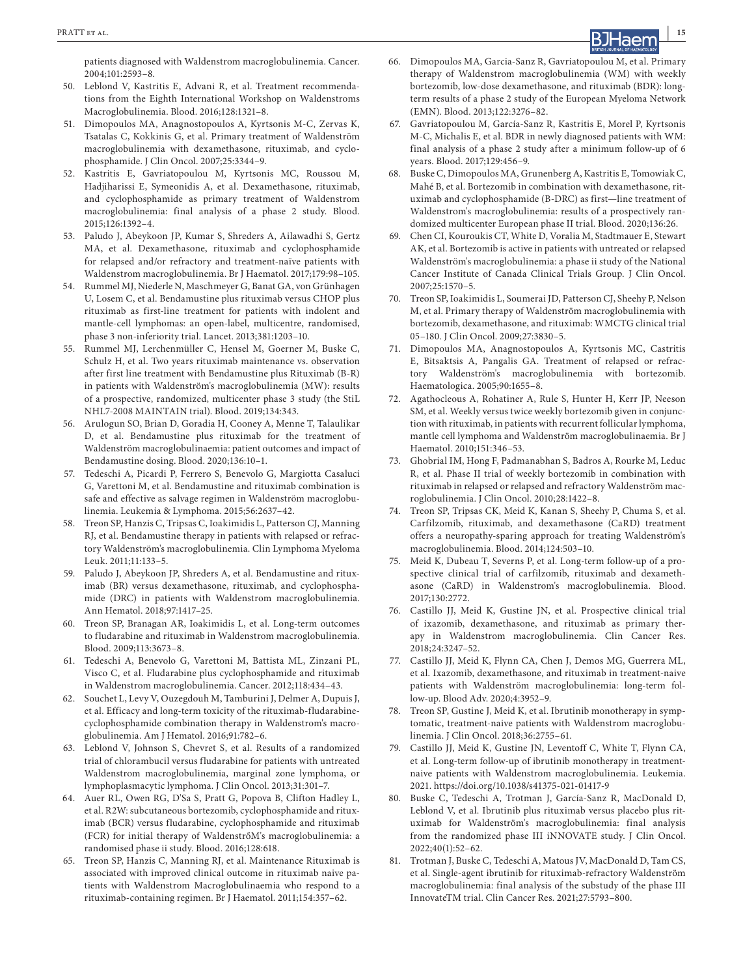patients diagnosed with Waldenstrom macroglobulinemia. Cancer. 2004;101:2593–8.

- 50. Leblond V, Kastritis E, Advani R, et al. Treatment recommendations from the Eighth International Workshop on Waldenstroms Macroglobulinemia. Blood. 2016;128:1321–8.
- 51. Dimopoulos MA, Anagnostopoulos A, Kyrtsonis M-C, Zervas K, Tsatalas C, Kokkinis G, et al. Primary treatment of Waldenström macroglobulinemia with dexamethasone, rituximab, and cyclophosphamide. J Clin Oncol. 2007;25:3344–9.
- 52. Kastritis E, Gavriatopoulou M, Kyrtsonis MC, Roussou M, Hadjiharissi E, Symeonidis A, et al. Dexamethasone, rituximab, and cyclophosphamide as primary treatment of Waldenstrom macroglobulinemia: final analysis of a phase 2 study. Blood. 2015;126:1392–4.
- 53. Paludo J, Abeykoon JP, Kumar S, Shreders A, Ailawadhi S, Gertz MA, et al. Dexamethasone, rituximab and cyclophosphamide for relapsed and/or refractory and treatment-naïve patients with Waldenstrom macroglobulinemia. Br J Haematol. 2017;179:98–105.
- 54. Rummel MJ, Niederle N, Maschmeyer G, Banat GA, von Grünhagen U, Losem C, et al. Bendamustine plus rituximab versus CHOP plus rituximab as first-line treatment for patients with indolent and mantle-cell lymphomas: an open-label, multicentre, randomised, phase 3 non-inferiority trial. Lancet. 2013;381:1203–10.
- 55. Rummel MJ, Lerchenmüller C, Hensel M, Goerner M, Buske C, Schulz H, et al. Two years rituximab maintenance vs. observation after first line treatment with Bendamustine plus Rituximab (B-R) in patients with Waldenström's macroglobulinemia (MW): results of a prospective, randomized, multicenter phase 3 study (the StiL NHL7-2008 MAINTAIN trial). Blood. 2019;134:343.
- 56. Arulogun SO, Brian D, Goradia H, Cooney A, Menne T, Talaulikar D, et al. Bendamustine plus rituximab for the treatment of Waldenström macroglobulinaemia: patient outcomes and impact of Bendamustine dosing. Blood. 2020;136:10–1.
- 57. Tedeschi A, Picardi P, Ferrero S, Benevolo G, Margiotta Casaluci G, Varettoni M, et al. Bendamustine and rituximab combination is safe and effective as salvage regimen in Waldenström macroglobulinemia. Leukemia & Lymphoma. 2015;56:2637–42.
- 58. Treon SP, Hanzis C, Tripsas C, Ioakimidis L, Patterson CJ, Manning RJ, et al. Bendamustine therapy in patients with relapsed or refractory Waldenström's macroglobulinemia. Clin Lymphoma Myeloma Leuk. 2011;11:133–5.
- 59. Paludo J, Abeykoon JP, Shreders A, et al. Bendamustine and rituximab (BR) versus dexamethasone, rituximab, and cyclophosphamide (DRC) in patients with Waldenstrom macroglobulinemia. Ann Hematol. 2018;97:1417–25.
- 60. Treon SP, Branagan AR, Ioakimidis L, et al. Long-term outcomes to fludarabine and rituximab in Waldenstrom macroglobulinemia. Blood. 2009;113:3673–8.
- 61. Tedeschi A, Benevolo G, Varettoni M, Battista ML, Zinzani PL, Visco C, et al. Fludarabine plus cyclophosphamide and rituximab in Waldenstrom macroglobulinemia. Cancer. 2012;118:434–43.
- 62. Souchet L, Levy V, Ouzegdouh M, Tamburini J, Delmer A, Dupuis J, et al. Efficacy and long-term toxicity of the rituximab-fludarabinecyclophosphamide combination therapy in Waldenstrom's macroglobulinemia. Am J Hematol. 2016;91:782–6.
- Leblond V, Johnson S, Chevret S, et al. Results of a randomized trial of chlorambucil versus fludarabine for patients with untreated Waldenstrom macroglobulinemia, marginal zone lymphoma, or lymphoplasmacytic lymphoma. J Clin Oncol. 2013;31:301–7.
- 64. Auer RL, Owen RG, D'Sa S, Pratt G, Popova B, Clifton Hadley L, et al. R2W: subcutaneous bortezomib, cyclophosphamide and rituximab (BCR) versus fludarabine, cyclophosphamide and rituximab (FCR) for initial therapy of WaldenstrőM's macroglobulinemia: a randomised phase ii study. Blood. 2016;128:618.
- 65. Treon SP, Hanzis C, Manning RJ, et al. Maintenance Rituximab is associated with improved clinical outcome in rituximab naive patients with Waldenstrom Macroglobulinaemia who respond to a rituximab-containing regimen. Br J Haematol. 2011;154:357–62.
- 66. Dimopoulos MA, Garcia-Sanz R, Gavriatopoulou M, et al. Primary therapy of Waldenstrom macroglobulinemia (WM) with weekly bortezomib, low-dose dexamethasone, and rituximab (BDR): longterm results of a phase 2 study of the European Myeloma Network (EMN). Blood. 2013;122:3276–82.
- 67. Gavriatopoulou M, García-Sanz R, Kastritis E, Morel P, Kyrtsonis M-C, Michalis E, et al. BDR in newly diagnosed patients with WM: final analysis of a phase 2 study after a minimum follow-up of 6 years. Blood. 2017;129:456–9.
- 68. Buske C, Dimopoulos MA, Grunenberg A, Kastritis E, Tomowiak C, Mahé B, et al. Bortezomib in combination with dexamethasone, rituximab and cyclophosphamide (B-DRC) as first—line treatment of Waldenstrom's macroglobulinemia: results of a prospectively randomized multicenter European phase II trial. Blood. 2020;136:26.
- 69. Chen CI, Kouroukis CT, White D, Voralia M, Stadtmauer E, Stewart AK, et al. Bortezomib is active in patients with untreated or relapsed Waldenström's macroglobulinemia: a phase ii study of the National Cancer Institute of Canada Clinical Trials Group. J Clin Oncol. 2007;25:1570–5.
- 70. Treon SP, Ioakimidis L, Soumerai JD, Patterson CJ, Sheehy P, Nelson M, et al. Primary therapy of Waldenström macroglobulinemia with bortezomib, dexamethasone, and rituximab: WMCTG clinical trial 05–180. J Clin Oncol. 2009;27:3830–5.
- 71. Dimopoulos MA, Anagnostopoulos A, Kyrtsonis MC, Castritis E, Bitsaktsis A, Pangalis GA. Treatment of relapsed or refractory Waldenström's macroglobulinemia with bortezomib. Haematologica. 2005;90:1655–8.
- 72. Agathocleous A, Rohatiner A, Rule S, Hunter H, Kerr JP, Neeson SM, et al. Weekly versus twice weekly bortezomib given in conjunction with rituximab, in patients with recurrent follicular lymphoma, mantle cell lymphoma and Waldenström macroglobulinaemia. Br J Haematol. 2010;151:346–53.
- 73. Ghobrial IM, Hong F, Padmanabhan S, Badros A, Rourke M, Leduc R, et al. Phase II trial of weekly bortezomib in combination with rituximab in relapsed or relapsed and refractory Waldenström macroglobulinemia. J Clin Oncol. 2010;28:1422–8.
- 74. Treon SP, Tripsas CK, Meid K, Kanan S, Sheehy P, Chuma S, et al. Carfilzomib, rituximab, and dexamethasone (CaRD) treatment offers a neuropathy-sparing approach for treating Waldenström's macroglobulinemia. Blood. 2014;124:503–10.
- 75. Meid K, Dubeau T, Severns P, et al. Long-term follow-up of a prospective clinical trial of carfilzomib, rituximab and dexamethasone (CaRD) in Waldenstrom's macroglobulinemia. Blood. 2017;130:2772.
- 76. Castillo JJ, Meid K, Gustine JN, et al. Prospective clinical trial of ixazomib, dexamethasone, and rituximab as primary therapy in Waldenstrom macroglobulinemia. Clin Cancer Res. 2018;24:3247–52.
- 77. Castillo JJ, Meid K, Flynn CA, Chen J, Demos MG, Guerrera ML, et al. Ixazomib, dexamethasone, and rituximab in treatment-naive patients with Waldenström macroglobulinemia: long-term follow-up. Blood Adv. 2020;4:3952–9.
- 78. Treon SP, Gustine J, Meid K, et al. Ibrutinib monotherapy in symptomatic, treatment-naive patients with Waldenstrom macroglobulinemia. J Clin Oncol. 2018;36:2755–61.
- Castillo JJ, Meid K, Gustine JN, Leventoff C, White T, Flynn CA, et al. Long-term follow-up of ibrutinib monotherapy in treatmentnaive patients with Waldenstrom macroglobulinemia. Leukemia. 2021. <https://doi.org/10.1038/s41375-021-01417-9>
- 80. Buske C, Tedeschi A, Trotman J, García-Sanz R, MacDonald D, Leblond V, et al. Ibrutinib plus rituximab versus placebo plus rituximab for Waldenström's macroglobulinemia: final analysis from the randomized phase III iNNOVATE study. J Clin Oncol. 2022;40(1):52–62.
- 81. Trotman J, Buske C, Tedeschi A, Matous JV, MacDonald D, Tam CS, et al. Single-agent ibrutinib for rituximab-refractory Waldenström macroglobulinemia: final analysis of the substudy of the phase III InnovateTM trial. Clin Cancer Res. 2021;27:5793–800.

**REALLY REALLY REALLY REPORT ET ALL SOMETHER ALL SOMETHER ALL SOMETHER ALL SOMETHER ALL SOMETHER ALL SOMETHER ALL SOMETHER ALL SOMETHER ALL SOMETHER ALL SOMETHER ALL SOMETHER ALL SOMETHER ALL SOMETHER ALL SOMETHER ALL SOME**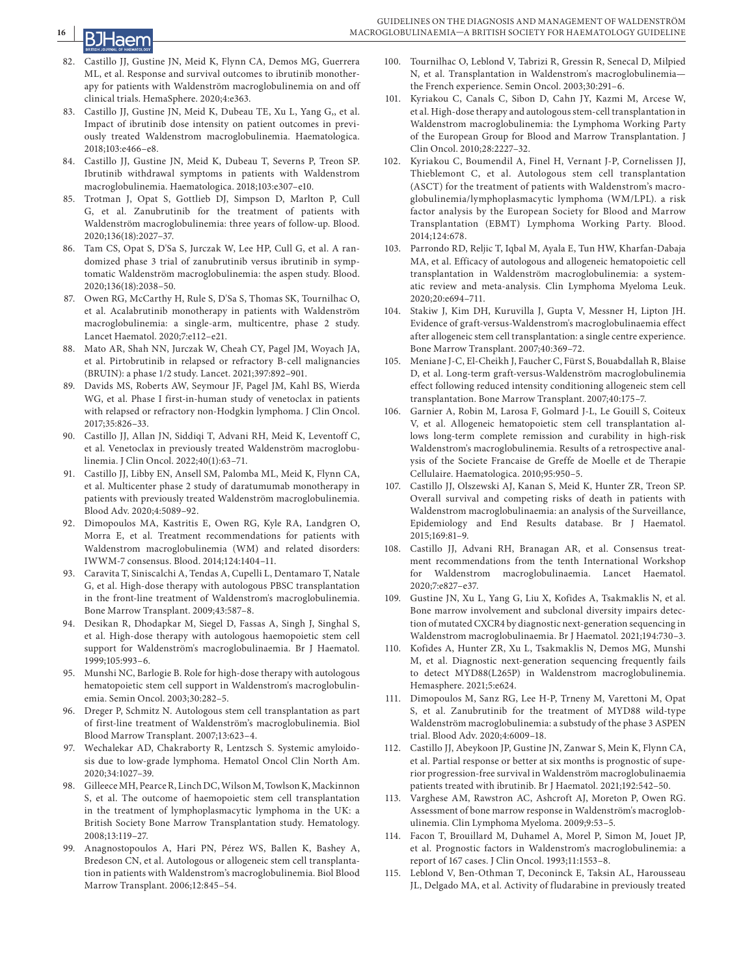

- 82. Castillo JJ, Gustine JN, Meid K, Flynn CA, Demos MG, Guerrera ML, et al. Response and survival outcomes to ibrutinib monotherapy for patients with Waldenström macroglobulinemia on and off clinical trials. HemaSphere. 2020;4:e363.
- 83. Castillo JJ, Gustine JN, Meid K, Dubeau TE, Xu L, Yang G,, et al. Impact of ibrutinib dose intensity on patient outcomes in previously treated Waldenstrom macroglobulinemia. Haematologica. 2018;103:e466–e8.
- 84. Castillo JJ, Gustine JN, Meid K, Dubeau T, Severns P, Treon SP. Ibrutinib withdrawal symptoms in patients with Waldenstrom macroglobulinemia. Haematologica. 2018;103:e307–e10.
- 85. Trotman J, Opat S, Gottlieb DJ, Simpson D, Marlton P, Cull G, et al. Zanubrutinib for the treatment of patients with Waldenström macroglobulinemia: three years of follow-up. Blood. 2020;136(18):2027–37.
- 86. Tam CS, Opat S, D'Sa S, Jurczak W, Lee HP, Cull G, et al. A randomized phase 3 trial of zanubrutinib versus ibrutinib in symptomatic Waldenström macroglobulinemia: the aspen study. Blood. 2020;136(18):2038–50.
- 87. Owen RG, McCarthy H, Rule S, D'Sa S, Thomas SK, Tournilhac O, et al. Acalabrutinib monotherapy in patients with Waldenström macroglobulinemia: a single-arm, multicentre, phase 2 study. Lancet Haematol. 2020;7:e112–e21.
- 88. Mato AR, Shah NN, Jurczak W, Cheah CY, Pagel JM, Woyach JA, et al. Pirtobrutinib in relapsed or refractory B-cell malignancies (BRUIN): a phase 1/2 study. Lancet. 2021;397:892–901.
- 89. Davids MS, Roberts AW, Seymour JF, Pagel JM, Kahl BS, Wierda WG, et al. Phase I first-in-human study of venetoclax in patients with relapsed or refractory non-Hodgkin lymphoma. J Clin Oncol. 2017;35:826–33.
- 90. Castillo JJ, Allan JN, Siddiqi T, Advani RH, Meid K, Leventoff C, et al. Venetoclax in previously treated Waldenström macroglobulinemia. J Clin Oncol. 2022;40(1):63–71.
- 91. Castillo JJ, Libby EN, Ansell SM, Palomba ML, Meid K, Flynn CA, et al. Multicenter phase 2 study of daratumumab monotherapy in patients with previously treated Waldenström macroglobulinemia. Blood Adv. 2020;4:5089–92.
- 92. Dimopoulos MA, Kastritis E, Owen RG, Kyle RA, Landgren O, Morra E, et al. Treatment recommendations for patients with Waldenstrom macroglobulinemia (WM) and related disorders: IWWM-7 consensus. Blood. 2014;124:1404–11.
- 93. Caravita T, Siniscalchi A, Tendas A, Cupelli L, Dentamaro T, Natale G, et al. High-dose therapy with autologous PBSC transplantation in the front-line treatment of Waldenstrom's macroglobulinemia. Bone Marrow Transplant. 2009;43:587–8.
- 94. Desikan R, Dhodapkar M, Siegel D, Fassas A, Singh J, Singhal S, et al. High-dose therapy with autologous haemopoietic stem cell support for Waldenström's macroglobulinaemia. Br J Haematol. 1999;105:993–6.
- 95. Munshi NC, Barlogie B. Role for high-dose therapy with autologous hematopoietic stem cell support in Waldenstrom's macroglobulinemia. Semin Oncol. 2003;30:282–5.
- 96. Dreger P, Schmitz N. Autologous stem cell transplantation as part of first-line treatment of Waldenström's macroglobulinemia. Biol Blood Marrow Transplant. 2007;13:623–4.
- 97. Wechalekar AD, Chakraborty R, Lentzsch S. Systemic amyloidosis due to low-grade lymphoma. Hematol Oncol Clin North Am. 2020;34:1027–39.
- 98. Gilleece MH, Pearce R, Linch DC, Wilson M, Towlson K, Mackinnon S, et al. The outcome of haemopoietic stem cell transplantation in the treatment of lymphoplasmacytic lymphoma in the UK: a British Society Bone Marrow Transplantation study. Hematology. 2008;13:119–27.
- 99. Anagnostopoulos A, Hari PN, Pérez WS, Ballen K, Bashey A, Bredeson CN, et al. Autologous or allogeneic stem cell transplantation in patients with Waldenstrom's macroglobulinemia. Biol Blood Marrow Transplant. 2006;12:845–54.
- 100. Tournilhac O, Leblond V, Tabrizi R, Gressin R, Senecal D, Milpied N, et al. Transplantation in Waldenstrom's macroglobulinemia the French experience. Semin Oncol. 2003;30:291–6.
- 101. Kyriakou C, Canals C, Sibon D, Cahn JY, Kazmi M, Arcese W, et al. High-dose therapy and autologous stem-cell transplantation in Waldenstrom macroglobulinemia: the Lymphoma Working Party of the European Group for Blood and Marrow Transplantation. J Clin Oncol. 2010;28:2227–32.
- 102. Kyriakou C, Boumendil A, Finel H, Vernant J-P, Cornelissen JJ, Thieblemont C, et al. Autologous stem cell transplantation (ASCT) for the treatment of patients with Waldenstrom's macroglobulinemia/lymphoplasmacytic lymphoma (WM/LPL). a risk factor analysis by the European Society for Blood and Marrow Transplantation (EBMT) Lymphoma Working Party. Blood. 2014;124:678.
- 103. Parrondo RD, Reljic T, Iqbal M, Ayala E, Tun HW, Kharfan-Dabaja MA, et al. Efficacy of autologous and allogeneic hematopoietic cell transplantation in Waldenström macroglobulinemia: a systematic review and meta-analysis. Clin Lymphoma Myeloma Leuk. 2020;20:e694–711.
- 104. Stakiw J, Kim DH, Kuruvilla J, Gupta V, Messner H, Lipton JH. Evidence of graft-versus-Waldenstrom's macroglobulinaemia effect after allogeneic stem cell transplantation: a single centre experience. Bone Marrow Transplant. 2007;40:369–72.
- 105. Meniane J-C, El-Cheikh J, Faucher C, Fürst S, Bouabdallah R, Blaise D, et al. Long-term graft-versus-Waldenström macroglobulinemia effect following reduced intensity conditioning allogeneic stem cell transplantation. Bone Marrow Transplant. 2007;40:175–7.
- 106. Garnier A, Robin M, Larosa F, Golmard J-L, Le Gouill S, Coiteux V, et al. Allogeneic hematopoietic stem cell transplantation allows long-term complete remission and curability in high-risk Waldenstrom's macroglobulinemia. Results of a retrospective analysis of the Societe Francaise de Greffe de Moelle et de Therapie Cellulaire. Haematologica. 2010;95:950–5.
- 107. Castillo JJ, Olszewski AJ, Kanan S, Meid K, Hunter ZR, Treon SP. Overall survival and competing risks of death in patients with Waldenstrom macroglobulinaemia: an analysis of the Surveillance, Epidemiology and End Results database. Br J Haematol. 2015;169:81–9.
- 108. Castillo JJ, Advani RH, Branagan AR, et al. Consensus treatment recommendations from the tenth International Workshop for Waldenstrom macroglobulinaemia. Lancet Haematol. 2020;7:e827–e37.
- 109. Gustine JN, Xu L, Yang G, Liu X, Kofides A, Tsakmaklis N, et al. Bone marrow involvement and subclonal diversity impairs detection of mutated CXCR4 by diagnostic next-generation sequencing in Waldenstrom macroglobulinaemia. Br J Haematol. 2021;194:730–3.
- 110. Kofides A, Hunter ZR, Xu L, Tsakmaklis N, Demos MG, Munshi M, et al. Diagnostic next-generation sequencing frequently fails to detect MYD88(L265P) in Waldenstrom macroglobulinemia. Hemasphere. 2021;5:e624.
- 111. Dimopoulos M, Sanz RG, Lee H-P, Trneny M, Varettoni M, Opat S, et al. Zanubrutinib for the treatment of MYD88 wild-type Waldenström macroglobulinemia: a substudy of the phase 3 ASPEN trial. Blood Adv. 2020;4:6009–18.
- 112. Castillo JJ, Abeykoon JP, Gustine JN, Zanwar S, Mein K, Flynn CA, et al. Partial response or better at six months is prognostic of superior progression-free survival in Waldenström macroglobulinaemia patients treated with ibrutinib. Br J Haematol. 2021;192:542–50.
- 113. Varghese AM, Rawstron AC, Ashcroft AJ, Moreton P, Owen RG. Assessment of bone marrow response in Waldenström's macroglobulinemia. Clin Lymphoma Myeloma. 2009;9:53–5.
- 114. Facon T, Brouillard M, Duhamel A, Morel P, Simon M, Jouet JP, et al. Prognostic factors in Waldenstrom's macroglobulinemia: a report of 167 cases. J Clin Oncol. 1993;11:1553–8.
- 115. Leblond V, Ben-Othman T, Deconinck E, Taksin AL, Harousseau JL, Delgado MA, et al. Activity of fludarabine in previously treated